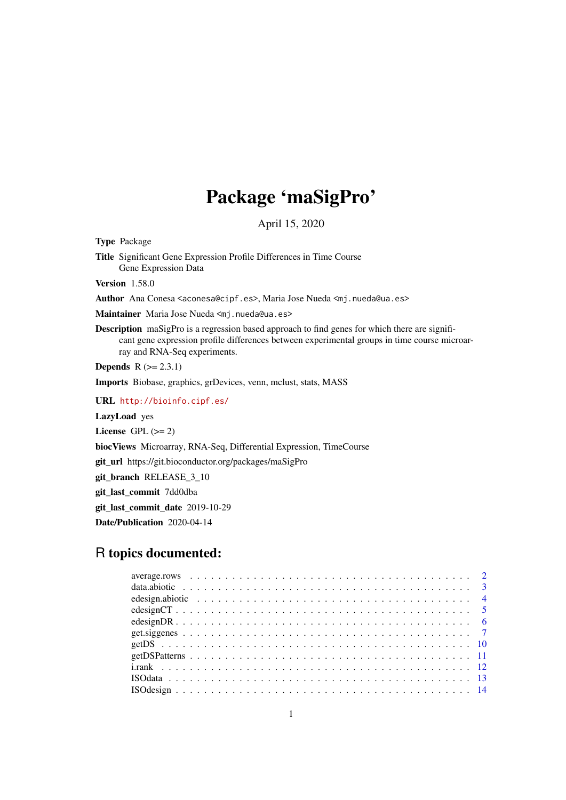# Package 'maSigPro'

April 15, 2020

<span id="page-0-0"></span>Type Package

Title Significant Gene Expression Profile Differences in Time Course Gene Expression Data

Version 1.58.0

Author Ana Conesa <aconesa@cipf.es>, Maria Jose Nueda <mj.nueda@ua.es>

Maintainer Maria Jose Nueda <mj.nueda@ua.es>

Description maSigPro is a regression based approach to find genes for which there are significant gene expression profile differences between experimental groups in time course microarray and RNA-Seq experiments.

**Depends**  $R$  ( $>= 2.3.1$ )

Imports Biobase, graphics, grDevices, venn, mclust, stats, MASS

URL <http://bioinfo.cipf.es/>

LazyLoad yes

License GPL  $(>= 2)$ 

biocViews Microarray, RNA-Seq, Differential Expression, TimeCourse

git\_url https://git.bioconductor.org/packages/maSigPro

git\_branch RELEASE\_3\_10

git\_last\_commit 7dd0dba

git\_last\_commit\_date 2019-10-29

Date/Publication 2020-04-14

# R topics documented: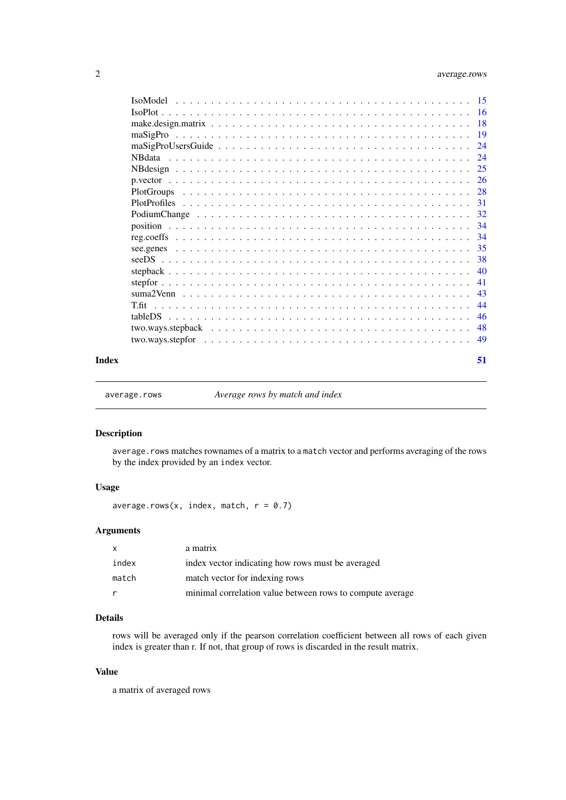# <span id="page-1-0"></span>2 average.rows

|       | $\text{IsoPlot}\dots\dots\dots\dots\dots\dots\dots\dots\dots\dots\dots\dots\dots\dots\dots\dots \text{16}$ |  |
|-------|------------------------------------------------------------------------------------------------------------|--|
|       |                                                                                                            |  |
|       |                                                                                                            |  |
|       |                                                                                                            |  |
|       |                                                                                                            |  |
|       |                                                                                                            |  |
|       |                                                                                                            |  |
|       |                                                                                                            |  |
|       |                                                                                                            |  |
|       |                                                                                                            |  |
|       |                                                                                                            |  |
|       |                                                                                                            |  |
|       |                                                                                                            |  |
|       |                                                                                                            |  |
|       |                                                                                                            |  |
|       |                                                                                                            |  |
|       |                                                                                                            |  |
|       |                                                                                                            |  |
|       |                                                                                                            |  |
|       |                                                                                                            |  |
|       |                                                                                                            |  |
| Index | 51                                                                                                         |  |
|       |                                                                                                            |  |

<span id="page-1-1"></span>average.rows *Average rows by match and index*

# Description

average.rows matches rownames of a matrix to a match vector and performs averaging of the rows by the index provided by an index vector.

# Usage

average.rows(x, index, match,  $r = 0.7$ )

# Arguments

|       | a matrix                                                  |
|-------|-----------------------------------------------------------|
| index | index vector indicating how rows must be averaged         |
| match | match vector for indexing rows                            |
|       | minimal correlation value between rows to compute average |

# Details

rows will be averaged only if the pearson correlation coefficient between all rows of each given index is greater than r. If not, that group of rows is discarded in the result matrix.

#### Value

a matrix of averaged rows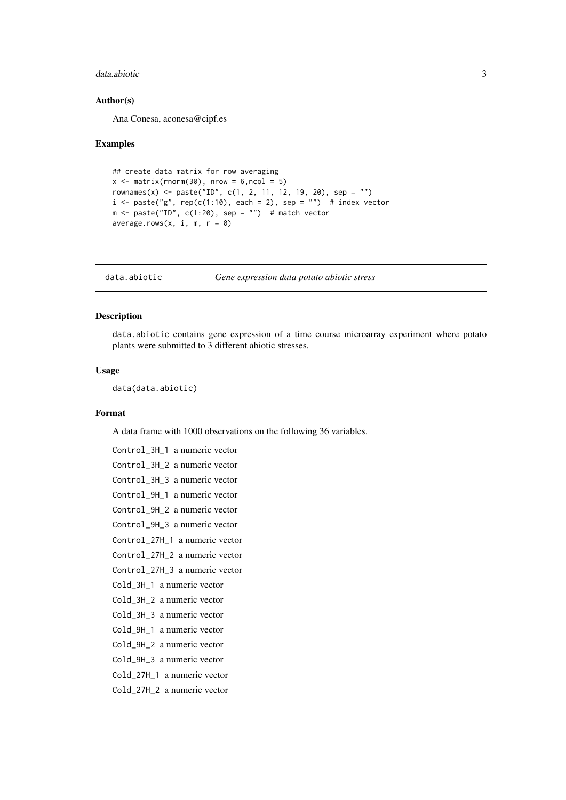#### <span id="page-2-0"></span>data.abiotic 3

#### Author(s)

Ana Conesa, aconesa@cipf.es

#### Examples

```
## create data matrix for row averaging
x \le - matrix(rnorm(30), nrow = 6, ncol = 5)
rownames(x) <- paste("ID", c(1, 2, 11, 12, 19, 20), sep = "")
i \leq - paste("g", rep(c(1:10), each = 2), sep = "") # index vector
m \le - paste("ID", c(1:20), sep = "") # match vector
average.rows(x, i, m, r = 0)
```
data.abiotic *Gene expression data potato abiotic stress*

# Description

data.abiotic contains gene expression of a time course microarray experiment where potato plants were submitted to 3 different abiotic stresses.

# Usage

data(data.abiotic)

#### Format

A data frame with 1000 observations on the following 36 variables.

```
Control_3H_1 a numeric vector
Control_3H_2 a numeric vector
Control_3H_3 a numeric vector
Control_9H_1 a numeric vector
Control_9H_2 a numeric vector
Control_9H_3 a numeric vector
Control_27H_1 a numeric vector
Control_27H_2 a numeric vector
Control_27H_3 a numeric vector
Cold_3H_1 a numeric vector
Cold_3H_2 a numeric vector
Cold_3H_3 a numeric vector
Cold_9H_1 a numeric vector
Cold_9H_2 a numeric vector
Cold_9H_3 a numeric vector
Cold_27H_1 a numeric vector
Cold_27H_2 a numeric vector
```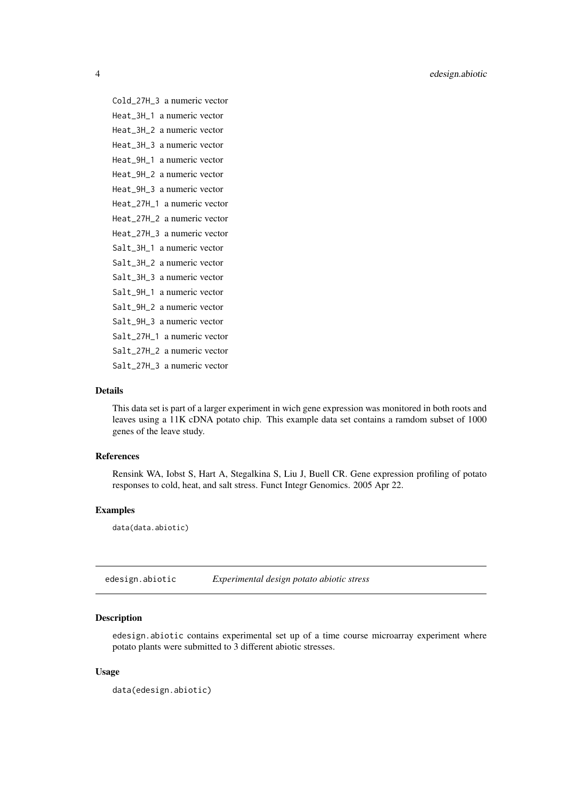<span id="page-3-0"></span>Cold\_27H\_3 a numeric vector Heat\_3H\_1 a numeric vector Heat\_3H\_2 a numeric vector Heat\_3H\_3 a numeric vector Heat\_9H\_1 a numeric vector Heat\_9H\_2 a numeric vector Heat\_9H\_3 a numeric vector Heat\_27H\_1 a numeric vector Heat\_27H\_2 a numeric vector Heat\_27H\_3 a numeric vector Salt 3H 1 a numeric vector Salt\_3H\_2 a numeric vector Salt\_3H\_3 a numeric vector Salt\_9H\_1 a numeric vector Salt\_9H\_2 a numeric vector Salt\_9H\_3 a numeric vector Salt\_27H\_1 a numeric vector Salt\_27H\_2 a numeric vector Salt\_27H\_3 a numeric vector

# Details

This data set is part of a larger experiment in wich gene expression was monitored in both roots and leaves using a 11K cDNA potato chip. This example data set contains a ramdom subset of 1000 genes of the leave study.

# References

Rensink WA, Iobst S, Hart A, Stegalkina S, Liu J, Buell CR. Gene expression profiling of potato responses to cold, heat, and salt stress. Funct Integr Genomics. 2005 Apr 22.

#### Examples

data(data.abiotic)

edesign.abiotic *Experimental design potato abiotic stress*

#### Description

edesign.abiotic contains experimental set up of a time course microarray experiment where potato plants were submitted to 3 different abiotic stresses.

# Usage

```
data(edesign.abiotic)
```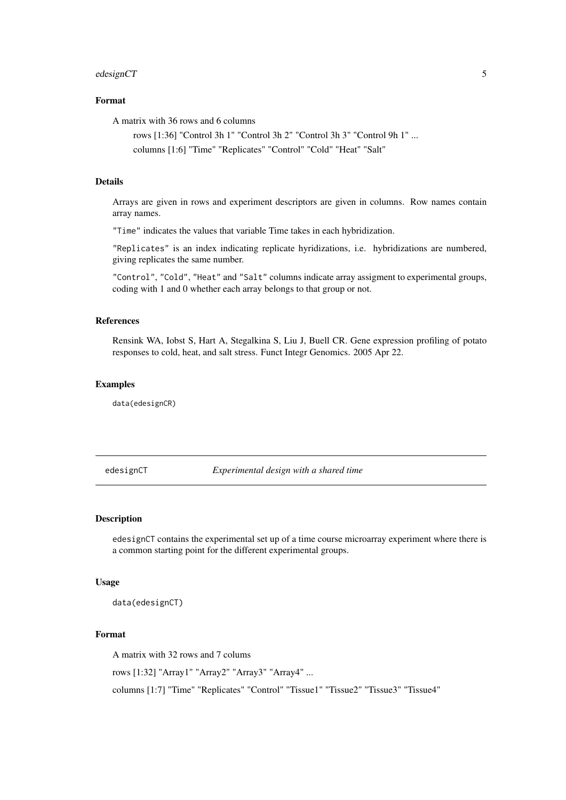#### <span id="page-4-0"></span>edesignCT 5

#### Format

A matrix with 36 rows and 6 columns

rows [1:36] "Control 3h 1" "Control 3h 2" "Control 3h 3" "Control 9h 1" ... columns [1:6] "Time" "Replicates" "Control" "Cold" "Heat" "Salt"

# Details

Arrays are given in rows and experiment descriptors are given in columns. Row names contain array names.

"Time" indicates the values that variable Time takes in each hybridization.

"Replicates" is an index indicating replicate hyridizations, i.e. hybridizations are numbered, giving replicates the same number.

"Control", "Cold", "Heat" and "Salt" columns indicate array assigment to experimental groups, coding with 1 and 0 whether each array belongs to that group or not.

#### References

Rensink WA, Iobst S, Hart A, Stegalkina S, Liu J, Buell CR. Gene expression profiling of potato responses to cold, heat, and salt stress. Funct Integr Genomics. 2005 Apr 22.

# Examples

data(edesignCR)

edesignCT *Experimental design with a shared time*

# Description

edesignCT contains the experimental set up of a time course microarray experiment where there is a common starting point for the different experimental groups.

# Usage

data(edesignCT)

#### Format

A matrix with 32 rows and 7 colums

rows [1:32] "Array1" "Array2" "Array3" "Array4" ...

columns [1:7] "Time" "Replicates" "Control" "Tissue1" "Tissue2" "Tissue3" "Tissue4"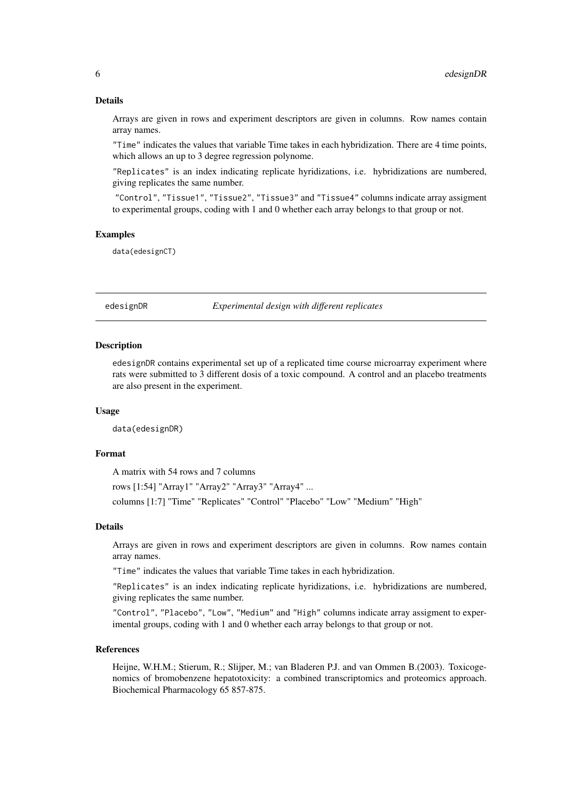#### Details

Arrays are given in rows and experiment descriptors are given in columns. Row names contain array names.

"Time" indicates the values that variable Time takes in each hybridization. There are 4 time points, which allows an up to 3 degree regression polynome.

"Replicates" is an index indicating replicate hyridizations, i.e. hybridizations are numbered, giving replicates the same number.

"Control", "Tissue1", "Tissue2", "Tissue3" and "Tissue4" columns indicate array assigment to experimental groups, coding with 1 and 0 whether each array belongs to that group or not.

#### Examples

data(edesignCT)

edesignDR *Experimental design with different replicates*

#### Description

edesignDR contains experimental set up of a replicated time course microarray experiment where rats were submitted to 3 different dosis of a toxic compound. A control and an placebo treatments are also present in the experiment.

# Usage

data(edesignDR)

# Format

A matrix with 54 rows and 7 columns

rows [1:54] "Array1" "Array2" "Array3" "Array4" ... columns [1:7] "Time" "Replicates" "Control" "Placebo" "Low" "Medium" "High"

#### Details

Arrays are given in rows and experiment descriptors are given in columns. Row names contain array names.

"Time" indicates the values that variable Time takes in each hybridization.

"Replicates" is an index indicating replicate hyridizations, i.e. hybridizations are numbered, giving replicates the same number.

"Control", "Placebo", "Low", "Medium" and "High" columns indicate array assigment to experimental groups, coding with 1 and 0 whether each array belongs to that group or not.

#### References

Heijne, W.H.M.; Stierum, R.; Slijper, M.; van Bladeren P.J. and van Ommen B.(2003). Toxicogenomics of bromobenzene hepatotoxicity: a combined transcriptomics and proteomics approach. Biochemical Pharmacology 65 857-875.

<span id="page-5-0"></span>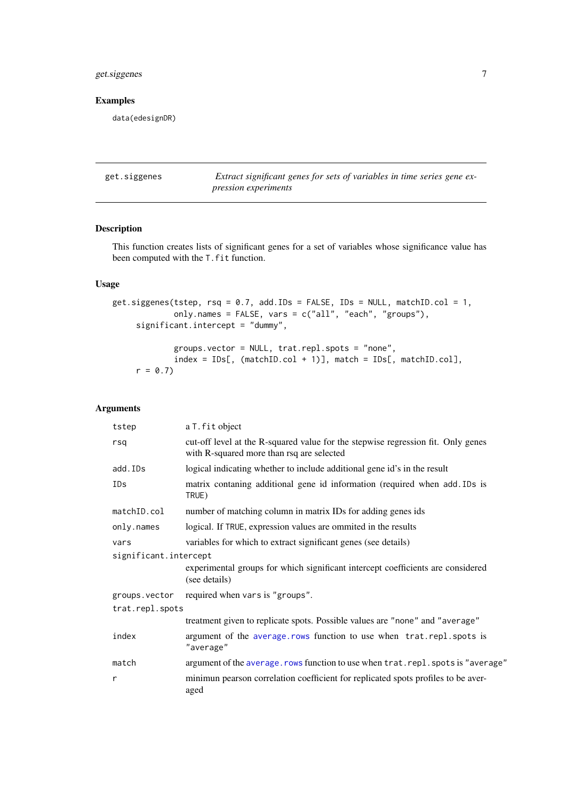# <span id="page-6-0"></span>get.siggenes 7

# Examples

data(edesignDR)

<span id="page-6-1"></span>

| get.siggenes | Extract significant genes for sets of variables in time series gene ex- |
|--------------|-------------------------------------------------------------------------|
|              | <i>pression experiments</i>                                             |

# Description

This function creates lists of significant genes for a set of variables whose significance value has been computed with the T.fit function.

# Usage

```
get.siggenes(tstep, rsq = 0.7, add.IDs = FALSE, IDs = NULL, matchID.col = 1,
             only.names = FALSE, vars = c("all", "each", "groups"),
     significant.intercept = "dummy",
```
groups.vector = NULL, trat.repl.spots = "none", index = IDs[, (matchID.col + 1)], match = IDs[, matchID.col],  $r = 0.7$ 

# Arguments

| a T. fit object                                                                                                               |
|-------------------------------------------------------------------------------------------------------------------------------|
| cut-off level at the R-squared value for the stepwise regression fit. Only genes<br>with R-squared more than rsq are selected |
| logical indicating whether to include additional gene id's in the result                                                      |
| matrix contaning additional gene id information (required when add. IDs is<br>TRUE)                                           |
| number of matching column in matrix IDs for adding genes ids                                                                  |
| logical. If TRUE, expression values are ommited in the results                                                                |
| variables for which to extract significant genes (see details)                                                                |
| significant.intercept                                                                                                         |
| experimental groups for which significant intercept coefficients are considered<br>(see details)                              |
| required when vars is "groups".                                                                                               |
| trat.repl.spots                                                                                                               |
| treatment given to replicate spots. Possible values are "none" and "average"                                                  |
| argument of the average. rows function to use when trat. repl. spots is<br>"average"                                          |
| argument of the average. rows function to use when trat. repl. spots is "average"                                             |
| minimun pearson correlation coefficient for replicated spots profiles to be aver-<br>aged                                     |
|                                                                                                                               |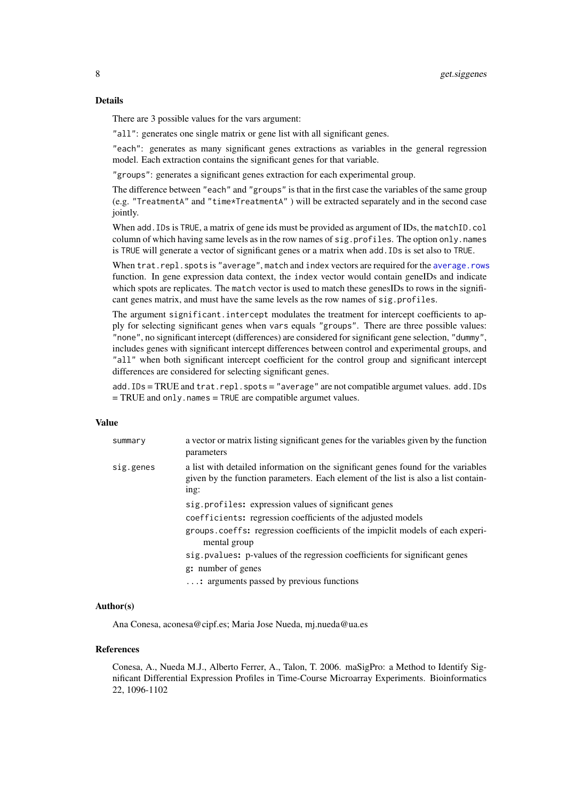#### <span id="page-7-0"></span>Details

There are 3 possible values for the vars argument:

"all": generates one single matrix or gene list with all significant genes.

"each": generates as many significant genes extractions as variables in the general regression model. Each extraction contains the significant genes for that variable.

"groups": generates a significant genes extraction for each experimental group.

The difference between "each" and "groups" is that in the first case the variables of the same group (e.g. "TreatmentA" and "time\*TreatmentA" ) will be extracted separately and in the second case jointly.

When add. IDs is TRUE, a matrix of gene ids must be provided as argument of IDs, the matchID.col column of which having same levels as in the row names of sig.profiles. The option only.names is TRUE will generate a vector of significant genes or a matrix when add.IDs is set also to TRUE.

When trat.repl.spots is "average", match and index vectors are required for the [average.rows](#page-1-1) function. In gene expression data context, the index vector would contain geneIDs and indicate which spots are replicates. The match vector is used to match these genesIDs to rows in the significant genes matrix, and must have the same levels as the row names of sig.profiles.

The argument significant.intercept modulates the treatment for intercept coefficients to apply for selecting significant genes when vars equals "groups". There are three possible values: "none", no significant intercept (differences) are considered for significant gene selection, "dummy", includes genes with significant intercept differences between control and experimental groups, and "all" when both significant intercept coefficient for the control group and significant intercept differences are considered for selecting significant genes.

add.IDs = TRUE and trat.repl.spots = "average" are not compatible argumet values. add.IDs = TRUE and only.names = TRUE are compatible argumet values.

# Value

| summary   | a vector or matrix listing significant genes for the variables given by the function<br>parameters                                                                              |
|-----------|---------------------------------------------------------------------------------------------------------------------------------------------------------------------------------|
| sig.genes | a list with detailed information on the significant genes found for the variables<br>given by the function parameters. Each element of the list is also a list contain-<br>ing: |
|           | sig. profiles: expression values of significant genes                                                                                                                           |
|           | coefficients: regression coefficients of the adjusted models                                                                                                                    |
|           | groups.coeffs: regression coefficients of the impiclit models of each experi-<br>mental group                                                                                   |
|           | sig. pvalues: p-values of the regression coefficients for significant genes                                                                                                     |
|           | g: number of genes                                                                                                                                                              |
|           | : arguments passed by previous functions                                                                                                                                        |

#### Author(s)

Ana Conesa, aconesa@cipf.es; Maria Jose Nueda, mj.nueda@ua.es

#### References

Conesa, A., Nueda M.J., Alberto Ferrer, A., Talon, T. 2006. maSigPro: a Method to Identify Significant Differential Expression Profiles in Time-Course Microarray Experiments. Bioinformatics 22, 1096-1102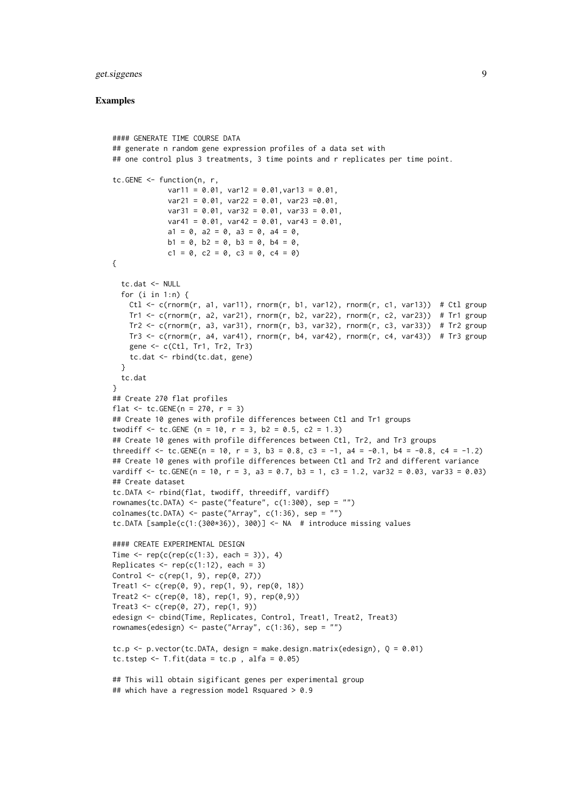#### get.siggenes 9

```
#### GENERATE TIME COURSE DATA
## generate n random gene expression profiles of a data set with
## one control plus 3 treatments, 3 time points and r replicates per time point.
tc.GENE <- function(n, r,
             var11 = 0.01, var12 = 0.01, var13 = 0.01,
             var21 = 0.01, var22 = 0.01, var23 =0.01,
             var31 = 0.01, var32 = 0.01, var33 = 0.01,
             var41 = 0.01, var42 = 0.01, var43 = 0.01,
             a1 = 0, a2 = 0, a3 = 0, a4 = 0,
             b1 = 0, b2 = 0, b3 = 0, b4 = 0,
             c1 = 0, c2 = 0, c3 = 0, c4 = 0)
{
  tc.dat <- NULL
  for (i in 1:n) {
   Ctl <- c(rnorm(r, a1, var11), rnorm(r, b1, var12), rnorm(r, c1, var13)) # Ctl group
   Tr1 <- c(rnorm(r, a2, var21), rnorm(r, b2, var22), rnorm(r, c2, var23)) # Tr1 group
   Tr2 <- c(rnorm(r, a3, var31), rnorm(r, b3, var32), rnorm(r, c3, var33)) # Tr2 group
   Tr3 <- c(rnorm(r, a4, var41), rnorm(r, b4, var42), rnorm(r, c4, var43)) # Tr3 group
    gene <- c(Ctl, Tr1, Tr2, Tr3)
    tc.dat <- rbind(tc.dat, gene)
  }
  tc.dat
}
## Create 270 flat profiles
flat <- tc. GENE(n = 270, r = 3)
## Create 10 genes with profile differences between Ctl and Tr1 groups
twodiff \le tc.GENE (n = 10, r = 3, b2 = 0.5, c2 = 1.3)
## Create 10 genes with profile differences between Ctl, Tr2, and Tr3 groups
threediff \leq tc.GENE(n = 10, r = 3, b3 = 0.8, c3 = -1, a4 = -0.1, b4 = -0.8, c4 = -1.2)
## Create 10 genes with profile differences between Ctl and Tr2 and different variance
vardiff <- tc.GENE(n = 10, r = 3, a3 = 0.7, b3 = 1, c3 = 1.2, var32 = 0.03, var33 = 0.03)
## Create dataset
tc.DATA <- rbind(flat, twodiff, threediff, vardiff)
rownames(tc.DATA) <- paste("feature", c(1:300), sep = "")
colnames(tc.DATA) <- paste("Array", c(1:36), sep = "")
tc.DATA [sample(c(1:(300*36)), 300)] <- NA # introduce missing values
#### CREATE EXPERIMENTAL DESIGN
Time \leq rep(c(rep(c(1:3), each = 3)), 4)
Replicates \leq rep(c(1:12), each = 3)
Control \leq c (rep(1, 9), rep(0, 27))
Treat1 <- c(rep(0, 9), rep(1, 9), rep(0, 18))
Treat2 <- c(rep(0, 18), rep(1, 9), rep(0,9))
Treat3 < -c(rep(0, 27), rep(1, 9))edesign <- cbind(Time, Replicates, Control, Treat1, Treat2, Treat3)
rownames(edesign) <- paste("Array", c(1:36), sep = "")
tc.p \leq p.vector(tc.DATA, design = make.design.matrix(edesign), Q = 0.01)
tc.tstep \le T.fit(data = tc.p, alfa = 0.05)
## This will obtain sigificant genes per experimental group
## which have a regression model Rsquared > 0.9
```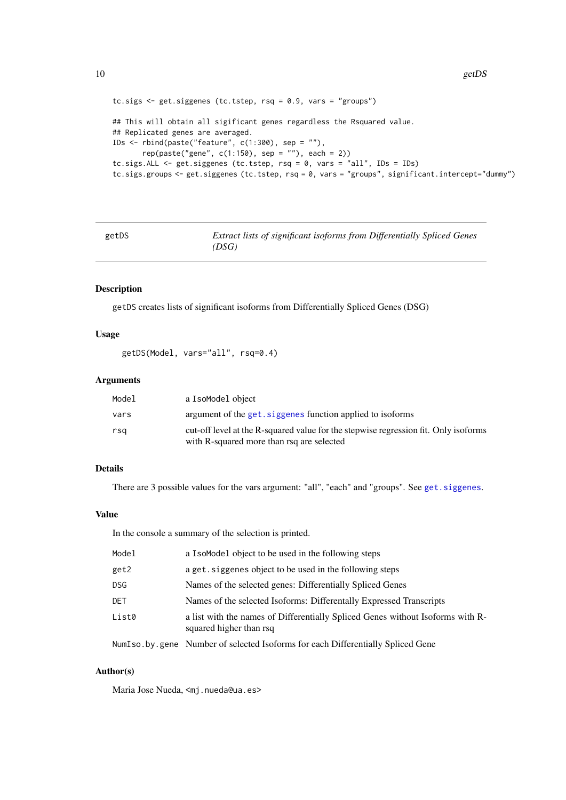```
tc.sigs <- get.siggenes (tc.tstep, rsq = 0.9, vars = "groups")
## This will obtain all sigificant genes regardless the Rsquared value.
## Replicated genes are averaged.
IDs \le rbind(paste("feature", c(1:300), sep = ""),
       rep(paste("gene", c(1:150), sep = ""), each = 2))tc.sigs.ALL <- get.siggenes (tc.tstep, rsq = 0, vars = "all", IDs = IDs)
tc.sigs.groups <- get.siggenes (tc.tstep, rsq = 0, vars = "groups", significant.intercept="dummy")
```
<span id="page-9-1"></span>

| getDS | Extract lists of significant isoforms from Differentially Spliced Genes |  |
|-------|-------------------------------------------------------------------------|--|
|       | (DSG)                                                                   |  |

# Description

getDS creates lists of significant isoforms from Differentially Spliced Genes (DSG)

# Usage

getDS(Model, vars="all", rsq=0.4)

# Arguments

| Model | a IsoModel object                                                                                                                |
|-------|----------------------------------------------------------------------------------------------------------------------------------|
| vars  | argument of the get, siggenes function applied to isoforms                                                                       |
| rsa   | cut-off level at the R-squared value for the stepwise regression fit. Only isoforms<br>with R-squared more than rsq are selected |

# Details

There are 3 possible values for the vars argument: "all", "each" and "groups". See [get.siggenes](#page-6-1).

# Value

In the console a summary of the selection is printed.

| Model      | a I somodel object to be used in the following steps                                                      |
|------------|-----------------------------------------------------------------------------------------------------------|
| get2       | a get. siggenes object to be used in the following steps                                                  |
| <b>DSG</b> | Names of the selected genes: Differentially Spliced Genes                                                 |
| <b>DET</b> | Names of the selected Isoforms: Differentally Expressed Transcripts                                       |
| List0      | a list with the names of Differentially Spliced Genes without Isoforms with R-<br>squared higher than rsq |
|            | NumIso.by.gene Number of selected Isoforms for each Differentially Spliced Gene                           |

# Author(s)

Maria Jose Nueda, <mj.nueda@ua.es>

<span id="page-9-0"></span>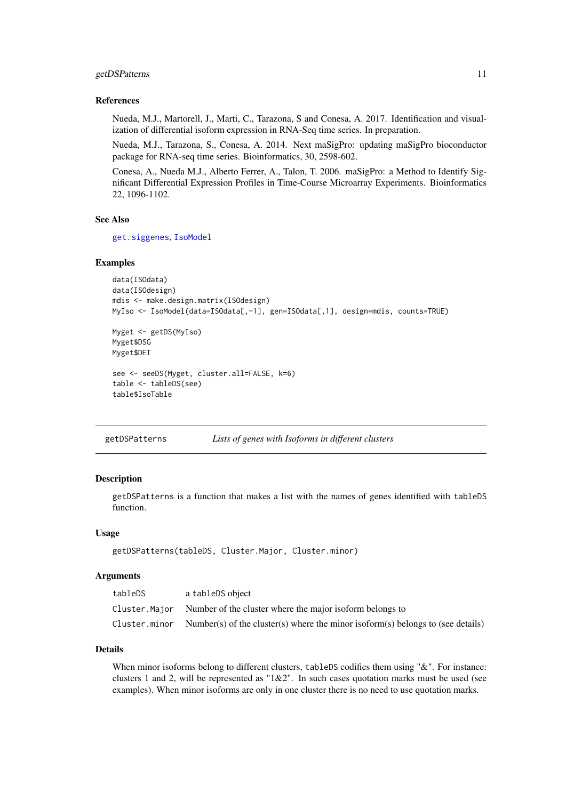#### <span id="page-10-0"></span>getDSPatterns 11

#### References

Nueda, M.J., Martorell, J., Marti, C., Tarazona, S and Conesa, A. 2017. Identification and visualization of differential isoform expression in RNA-Seq time series. In preparation.

Nueda, M.J., Tarazona, S., Conesa, A. 2014. Next maSigPro: updating maSigPro bioconductor package for RNA-seq time series. Bioinformatics, 30, 2598-602.

Conesa, A., Nueda M.J., Alberto Ferrer, A., Talon, T. 2006. maSigPro: a Method to Identify Significant Differential Expression Profiles in Time-Course Microarray Experiments. Bioinformatics 22, 1096-1102.

# See Also

[get.siggenes](#page-6-1), [IsoModel](#page-14-1)

#### Examples

```
data(ISOdata)
data(ISOdesign)
mdis <- make.design.matrix(ISOdesign)
MyIso <- IsoModel(data=ISOdata[,-1], gen=ISOdata[,1], design=mdis, counts=TRUE)
Myget <- getDS(MyIso)
Myget$DSG
Myget$DET
see <- seeDS(Myget, cluster.all=FALSE, k=6)
table <- tableDS(see)
table$IsoTable
```
getDSPatterns *Lists of genes with Isoforms in different clusters*

#### Description

getDSPatterns is a function that makes a list with the names of genes identified with tableDS function.

#### Usage

getDSPatterns(tableDS, Cluster.Major, Cluster.minor)

## Arguments

| tableDS       | a tableDS object                                                                |
|---------------|---------------------------------------------------------------------------------|
| Cluster.Maior | Number of the cluster where the major isoform belongs to                        |
| Cluster.minor | Number(s) of the cluster(s) where the minor isoform(s) belongs to (see details) |

# Details

When minor isoforms belong to different clusters, tableDS codifies them using "&". For instance: clusters 1 and 2, will be represented as "1&2". In such cases quotation marks must be used (see examples). When minor isoforms are only in one cluster there is no need to use quotation marks.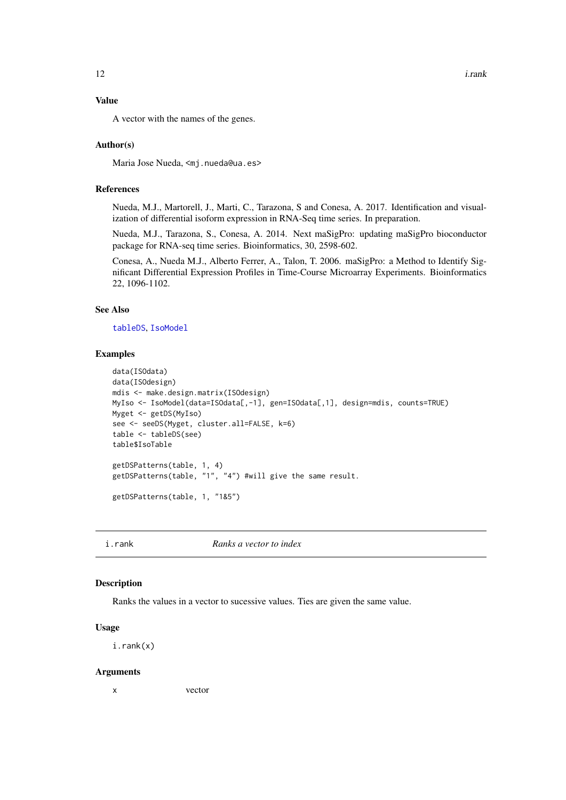<span id="page-11-0"></span>

# Value

A vector with the names of the genes.

#### Author(s)

Maria Jose Nueda, <mi.nueda@ua.es>

#### References

Nueda, M.J., Martorell, J., Marti, C., Tarazona, S and Conesa, A. 2017. Identification and visualization of differential isoform expression in RNA-Seq time series. In preparation.

Nueda, M.J., Tarazona, S., Conesa, A. 2014. Next maSigPro: updating maSigPro bioconductor package for RNA-seq time series. Bioinformatics, 30, 2598-602.

Conesa, A., Nueda M.J., Alberto Ferrer, A., Talon, T. 2006. maSigPro: a Method to Identify Significant Differential Expression Profiles in Time-Course Microarray Experiments. Bioinformatics 22, 1096-1102.

# See Also

[tableDS](#page-45-1), [IsoModel](#page-14-1)

#### Examples

```
data(ISOdata)
data(ISOdesign)
mdis <- make.design.matrix(ISOdesign)
MyIso <- IsoModel(data=ISOdata[,-1], gen=ISOdata[,1], design=mdis, counts=TRUE)
Myget <- getDS(MyIso)
see <- seeDS(Myget, cluster.all=FALSE, k=6)
table <- tableDS(see)
table$IsoTable
getDSPatterns(table, 1, 4)
getDSPatterns(table, "1", "4") #will give the same result.
getDSPatterns(table, 1, "1&5")
```
i.rank *Ranks a vector to index*

#### Description

Ranks the values in a vector to sucessive values. Ties are given the same value.

#### Usage

i.rank(x)

#### Arguments

x vector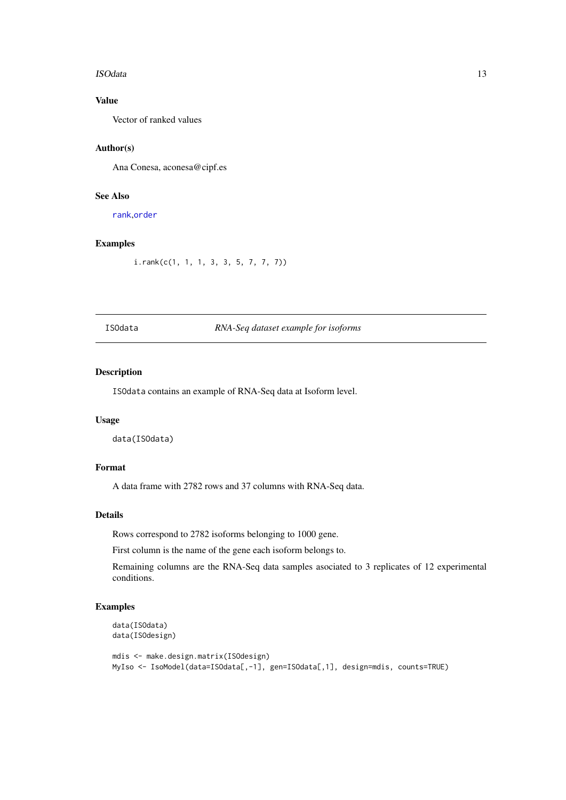#### <span id="page-12-0"></span>ISOdata 13

# Value

Vector of ranked values

# Author(s)

Ana Conesa, aconesa@cipf.es

# See Also

[rank](#page-0-0),[order](#page-0-0)

# Examples

i.rank(c(1, 1, 1, 3, 3, 5, 7, 7, 7))

# ISOdata *RNA-Seq dataset example for isoforms*

# Description

ISOdata contains an example of RNA-Seq data at Isoform level.

#### Usage

data(ISOdata)

# Format

A data frame with 2782 rows and 37 columns with RNA-Seq data.

# Details

Rows correspond to 2782 isoforms belonging to 1000 gene.

First column is the name of the gene each isoform belongs to.

Remaining columns are the RNA-Seq data samples asociated to 3 replicates of 12 experimental conditions.

```
data(ISOdata)
data(ISOdesign)
mdis <- make.design.matrix(ISOdesign)
MyIso <- IsoModel(data=ISOdata[,-1], gen=ISOdata[,1], design=mdis, counts=TRUE)
```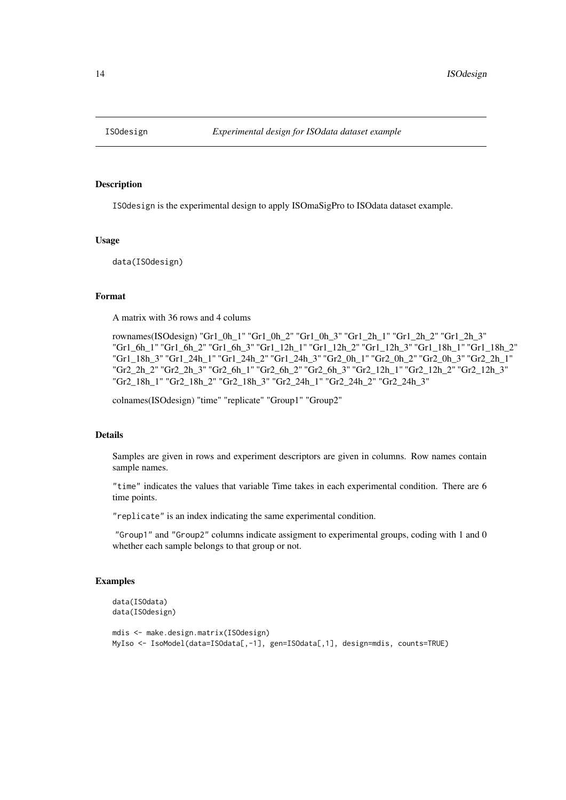<span id="page-13-0"></span>

# Description

ISOdesign is the experimental design to apply ISOmaSigPro to ISOdata dataset example.

# Usage

data(ISOdesign)

# Format

A matrix with 36 rows and 4 colums

rownames(ISOdesign) "Gr1\_0h\_1" "Gr1\_0h\_2" "Gr1\_0h\_3" "Gr1\_2h\_1" "Gr1\_2h\_2" "Gr1\_2h\_3" "Gr1\_6h\_1" "Gr1\_6h\_2" "Gr1\_6h\_3" "Gr1\_12h\_1" "Gr1\_12h\_2" "Gr1\_12h\_3" "Gr1\_18h\_1" "Gr1\_18h\_2" "Gr1\_18h\_3" "Gr1\_24h\_1" "Gr1\_24h\_2" "Gr1\_24h\_3" "Gr2\_0h\_1" "Gr2\_0h\_2" "Gr2\_0h\_3" "Gr2\_2h\_1" "Gr2\_2h\_2" "Gr2\_2h\_3" "Gr2\_6h\_1" "Gr2\_6h\_2" "Gr2\_6h\_3" "Gr2\_12h\_1" "Gr2\_12h\_2" "Gr2\_12h\_3" "Gr2\_18h\_1" "Gr2\_18h\_2" "Gr2\_18h\_3" "Gr2\_24h\_1" "Gr2\_24h\_2" "Gr2\_24h\_3"

colnames(ISOdesign) "time" "replicate" "Group1" "Group2"

# Details

Samples are given in rows and experiment descriptors are given in columns. Row names contain sample names.

"time" indicates the values that variable Time takes in each experimental condition. There are 6 time points.

"replicate" is an index indicating the same experimental condition.

"Group1" and "Group2" columns indicate assigment to experimental groups, coding with 1 and 0 whether each sample belongs to that group or not.

```
data(ISOdata)
data(ISOdesign)
mdis <- make.design.matrix(ISOdesign)
MyIso <- IsoModel(data=ISOdata[,-1], gen=ISOdata[,1], design=mdis, counts=TRUE)
```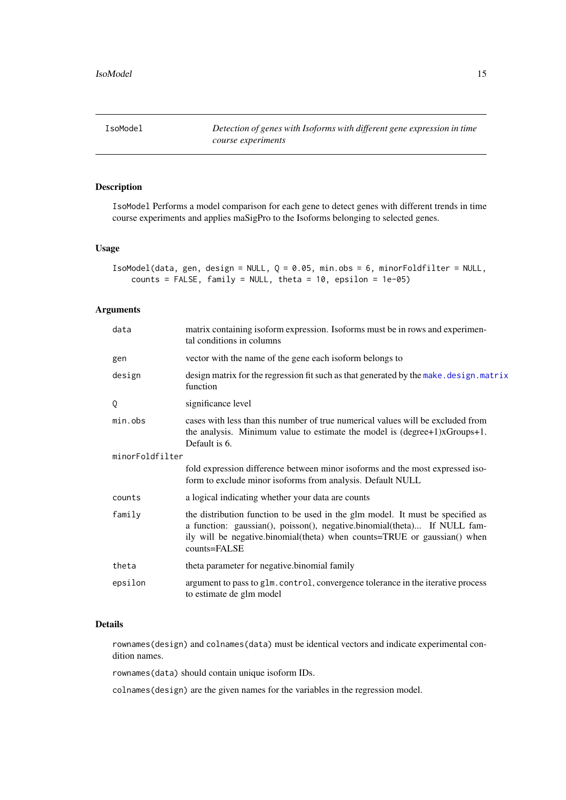<span id="page-14-1"></span><span id="page-14-0"></span>

# Description

IsoModel Performs a model comparison for each gene to detect genes with different trends in time course experiments and applies maSigPro to the Isoforms belonging to selected genes.

#### Usage

```
IsoModel(data, gen, design = NULL, Q = 0.05, min.obs = 6, minorFoldfilter = NULL,
   counts = FALSE, family = NULL, theta = 10, epsilon = 1e-05)
```
# Arguments

| data            | matrix containing isoform expression. Isoforms must be in rows and experimen-<br>tal conditions in columns                                                                                                                                             |  |  |  |  |  |
|-----------------|--------------------------------------------------------------------------------------------------------------------------------------------------------------------------------------------------------------------------------------------------------|--|--|--|--|--|
| gen             | vector with the name of the gene each isoform belongs to                                                                                                                                                                                               |  |  |  |  |  |
| design          | design matrix for the regression fit such as that generated by the make. design. matrix<br>function                                                                                                                                                    |  |  |  |  |  |
| 0               | significance level                                                                                                                                                                                                                                     |  |  |  |  |  |
| min.obs         | cases with less than this number of true numerical values will be excluded from<br>the analysis. Minimum value to estimate the model is (degree+1)xGroups+1.<br>Default is 6.                                                                          |  |  |  |  |  |
| minorFoldfilter |                                                                                                                                                                                                                                                        |  |  |  |  |  |
|                 | fold expression difference between minor isoforms and the most expressed iso-<br>form to exclude minor isoforms from analysis. Default NULL                                                                                                            |  |  |  |  |  |
| counts          | a logical indicating whether your data are counts                                                                                                                                                                                                      |  |  |  |  |  |
| family          | the distribution function to be used in the glm model. It must be specified as<br>a function: gaussian(), poisson(), negative.binomial(theta) If NULL fam-<br>ily will be negative.binomial(theta) when counts=TRUE or gaussian() when<br>counts=FALSE |  |  |  |  |  |
| theta           | theta parameter for negative binomial family                                                                                                                                                                                                           |  |  |  |  |  |
| epsilon         | argument to pass to glm. control, convergence tolerance in the iterative process<br>to estimate de glm model                                                                                                                                           |  |  |  |  |  |
|                 |                                                                                                                                                                                                                                                        |  |  |  |  |  |

# Details

rownames(design) and colnames(data) must be identical vectors and indicate experimental condition names.

rownames(data) should contain unique isoform IDs.

colnames(design) are the given names for the variables in the regression model.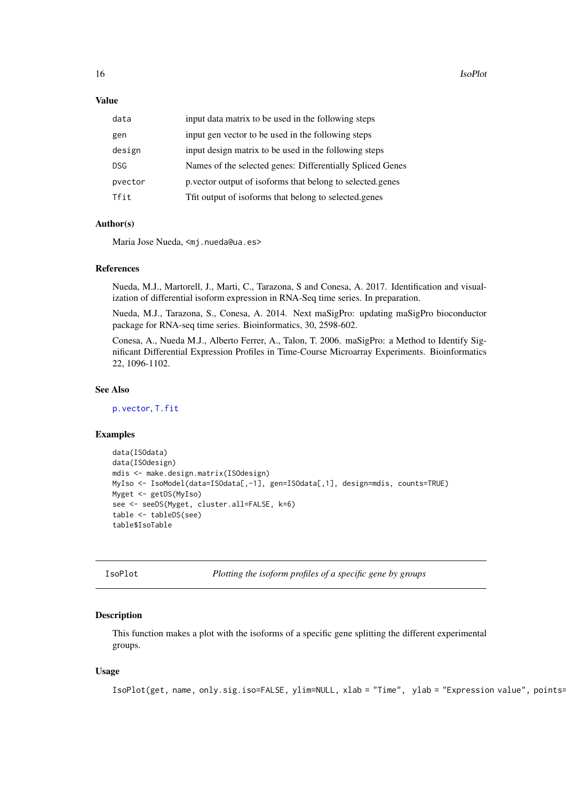<span id="page-15-0"></span>16 IsoPlot

#### Value

| data       | input data matrix to be used in the following steps       |
|------------|-----------------------------------------------------------|
| gen        | input gen vector to be used in the following steps        |
| design     | input design matrix to be used in the following steps     |
| <b>DSG</b> | Names of the selected genes: Differentially Spliced Genes |
| pvector    | p vector output of isoforms that belong to selected genes |
| Tfit       | Tfit output of isoforms that belong to selected.genes     |
|            |                                                           |

# Author(s)

Maria Jose Nueda, <mj.nueda@ua.es>

#### References

Nueda, M.J., Martorell, J., Marti, C., Tarazona, S and Conesa, A. 2017. Identification and visualization of differential isoform expression in RNA-Seq time series. In preparation.

Nueda, M.J., Tarazona, S., Conesa, A. 2014. Next maSigPro: updating maSigPro bioconductor package for RNA-seq time series. Bioinformatics, 30, 2598-602.

Conesa, A., Nueda M.J., Alberto Ferrer, A., Talon, T. 2006. maSigPro: a Method to Identify Significant Differential Expression Profiles in Time-Course Microarray Experiments. Bioinformatics 22, 1096-1102.

# See Also

[p.vector](#page-25-1), [T.fit](#page-43-1)

# Examples

```
data(ISOdata)
data(ISOdesign)
mdis <- make.design.matrix(ISOdesign)
MyIso <- IsoModel(data=ISOdata[,-1], gen=ISOdata[,1], design=mdis, counts=TRUE)
Myget <- getDS(MyIso)
see <- seeDS(Myget, cluster.all=FALSE, k=6)
table <- tableDS(see)
table$IsoTable
```
IsoPlot *Plotting the isoform profiles of a specific gene by groups*

#### Description

This function makes a plot with the isoforms of a specific gene splitting the different experimental groups.

# Usage

```
IsoPlot(get, name, only.sig.iso=FALSE, ylim=NULL, xlab = "Time", ylab = "Expression value", points=
```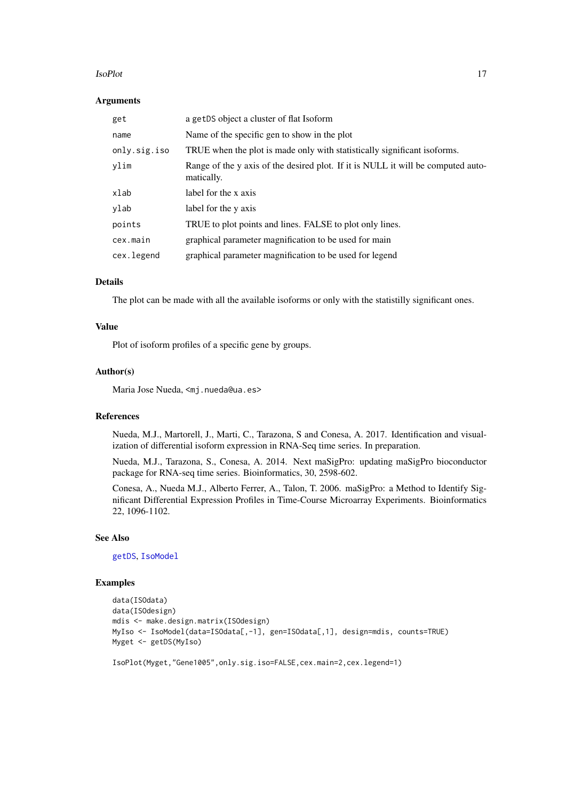#### <span id="page-16-0"></span>IsoPlot 2008 and 2008 and 2008 and 2008 and 2008 and 2008 and 2008 and 2008 and 2008 and 2008 and 2008 and 200

#### Arguments

| get          | a getDS object a cluster of flat Isoform                                                       |
|--------------|------------------------------------------------------------------------------------------------|
| name         | Name of the specific gen to show in the plot                                                   |
| only.sig.iso | TRUE when the plot is made only with statistically significant isoforms.                       |
| ylim         | Range of the y axis of the desired plot. If it is NULL it will be computed auto-<br>matically. |
| xlab         | label for the x axis                                                                           |
| ylab         | label for the y axis                                                                           |
| points       | TRUE to plot points and lines. FALSE to plot only lines.                                       |
| cex.main     | graphical parameter magnification to be used for main                                          |
| cex.legend   | graphical parameter magnification to be used for legend                                        |

#### Details

The plot can be made with all the available isoforms or only with the statistilly significant ones.

#### Value

Plot of isoform profiles of a specific gene by groups.

# Author(s)

Maria Jose Nueda, <mj.nueda@ua.es>

# References

Nueda, M.J., Martorell, J., Marti, C., Tarazona, S and Conesa, A. 2017. Identification and visualization of differential isoform expression in RNA-Seq time series. In preparation.

Nueda, M.J., Tarazona, S., Conesa, A. 2014. Next maSigPro: updating maSigPro bioconductor package for RNA-seq time series. Bioinformatics, 30, 2598-602.

Conesa, A., Nueda M.J., Alberto Ferrer, A., Talon, T. 2006. maSigPro: a Method to Identify Significant Differential Expression Profiles in Time-Course Microarray Experiments. Bioinformatics 22, 1096-1102.

# See Also

[getDS](#page-9-1), [IsoModel](#page-14-1)

```
data(ISOdata)
data(ISOdesign)
mdis <- make.design.matrix(ISOdesign)
MyIso <- IsoModel(data=ISOdata[,-1], gen=ISOdata[,1], design=mdis, counts=TRUE)
Myget <- getDS(MyIso)
```

```
IsoPlot(Myget,"Gene1005",only.sig.iso=FALSE,cex.main=2,cex.legend=1)
```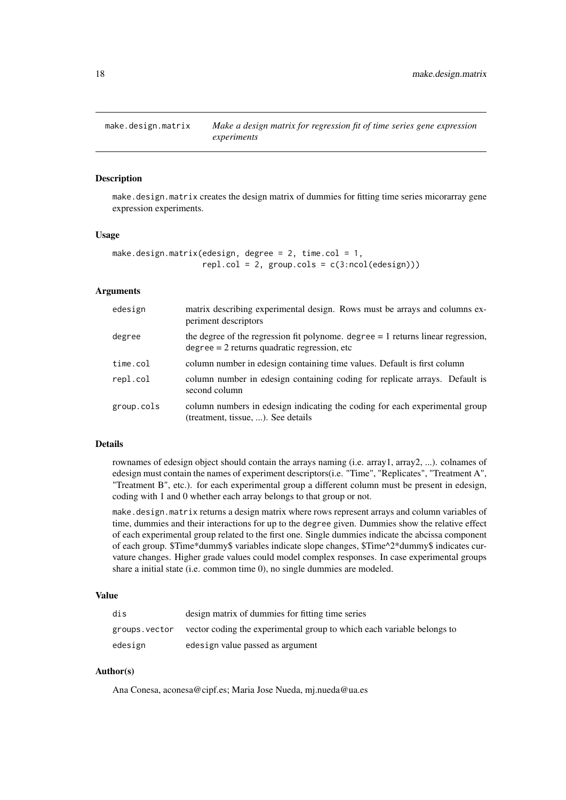<span id="page-17-1"></span><span id="page-17-0"></span>

#### **Description**

make.design.matrix creates the design matrix of dummies for fitting time series micorarray gene expression experiments.

# Usage

```
make.design.matrix(edesign, degree = 2, time.col = 1,
                   rep1,col = 2, group.cols = c(3:ncol(edesign)))
```
# Arguments

| edesign    | matrix describing experimental design. Rows must be arrays and columns ex-<br>periment descriptors                                   |
|------------|--------------------------------------------------------------------------------------------------------------------------------------|
| degree     | the degree of the regression fit polynome. degree $= 1$ returns linear regression,<br>$degree = 2$ returns quadratic regression, etc |
| time.col   | column number in edesign containing time values. Default is first column                                                             |
| repl.col   | column number in edesign containing coding for replicate arrays. Default is<br>second column                                         |
| group.cols | column numbers in edesign indicating the coding for each experimental group<br>(treatment, tissue, ). See details                    |

#### Details

rownames of edesign object should contain the arrays naming (i.e. array1, array2, ...). colnames of edesign must contain the names of experiment descriptors(i.e. "Time", "Replicates", "Treatment A", "Treatment B", etc.). for each experimental group a different column must be present in edesign, coding with 1 and 0 whether each array belongs to that group or not.

make.design.matrix returns a design matrix where rows represent arrays and column variables of time, dummies and their interactions for up to the degree given. Dummies show the relative effect of each experimental group related to the first one. Single dummies indicate the abcissa component of each group. \$Time\*dummy\$ variables indicate slope changes, \$Time^2\*dummy\$ indicates curvature changes. Higher grade values could model complex responses. In case experimental groups share a initial state (i.e. common time 0), no single dummies are modeled.

# Value

| dis           | design matrix of dummies for fitting time series                       |
|---------------|------------------------------------------------------------------------|
| groups.vector | vector coding the experimental group to which each variable belongs to |
| edesign       | edesign value passed as argument                                       |

#### Author(s)

Ana Conesa, aconesa@cipf.es; Maria Jose Nueda, mj.nueda@ua.es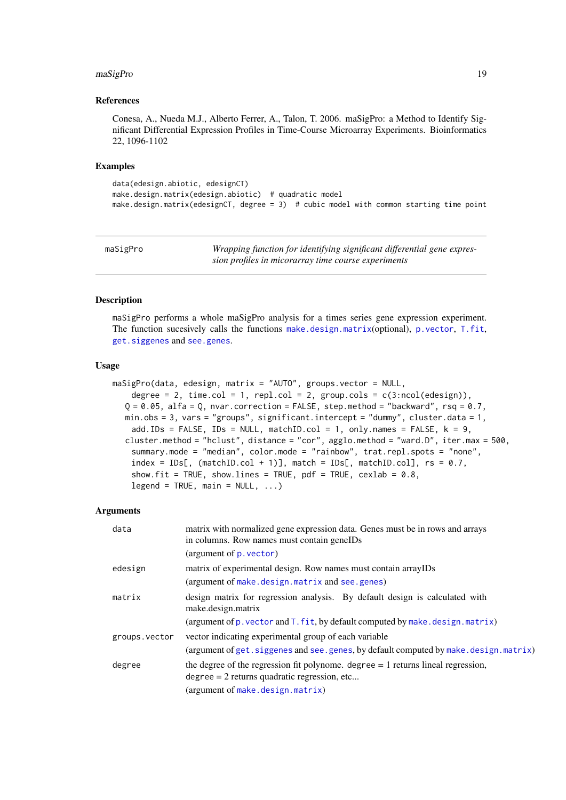#### <span id="page-18-0"></span>maSigPro 19

#### References

Conesa, A., Nueda M.J., Alberto Ferrer, A., Talon, T. 2006. maSigPro: a Method to Identify Significant Differential Expression Profiles in Time-Course Microarray Experiments. Bioinformatics 22, 1096-1102

#### Examples

```
data(edesign.abiotic, edesignCT)
make.design.matrix(edesign.abiotic) # quadratic model
make.design.matrix(edesignCT, degree = 3) # cubic model with common starting time point
```
maSigPro *Wrapping function for identifying significant differential gene expression profiles in micorarray time course experiments*

#### Description

maSigPro performs a whole maSigPro analysis for a times series gene expression experiment. The function sucesively calls the functions [make.design.matrix](#page-17-1)(optional), [p.vector](#page-25-1), [T.fit](#page-43-1), [get.siggenes](#page-6-1) and [see.genes](#page-34-1).

#### Usage

```
maSigPro(data, edesign, matrix = "AUTO", groups.vector = NULL,
    degree = 2, time.col = 1, repl.col = 2, group.cols = c(3:ncol(edesign)),Q = 0.05, alfa = Q, nvar.correction = FALSE, step.method = "backward", rsq = 0.7,
  min.obs = 3, vars = "groups", significant.intercept = "dummy", cluster.data = 1,
    add.IDs = FALSE, IDs = NULL, matchID.col = 1, only.names = FALSE, k = 9,
  cluster.method = "hclust", distance = "cor", agglo.method = "ward.D", iter.max = 500,
    summary.mode = "median", color.mode = "rainbow", trat.repl.spots = "none",
    index = IDs[, (matchID,col + 1)], match = IDs[, matchID.col], rs = 0.7,
    show.fit = TRUE, show.lines = TRUE, pdf = TRUE, cexlab = 0.8,
    legend = TRUE, main = NULL, ...
```
#### Arguments

| data          | matrix with normalized gene expression data. Genes must be in rows and arrays<br>in columns. Row names must contain geneIDs          |
|---------------|--------------------------------------------------------------------------------------------------------------------------------------|
|               | (argument of $p$ . vector)                                                                                                           |
| edesign       | matrix of experimental design. Row names must contain arrayIDs                                                                       |
|               | (argument of make.design.matrix and see.genes)                                                                                       |
| matrix        | design matrix for regression analysis. By default design is calculated with<br>make.design.matrix                                    |
|               | (argument of p. vector and T. fit, by default computed by make. design. matrix)                                                      |
| groups.vector | vector indicating experimental group of each variable                                                                                |
|               | (argument of get. siggenes and see. genes, by default computed by make. design. matrix)                                              |
| degree        | the degree of the regression fit polynome. degree $= 1$ returns lineal regression,<br>$degree = 2$ returns quadratic regression, etc |
|               | (argument of make.design.matrix)                                                                                                     |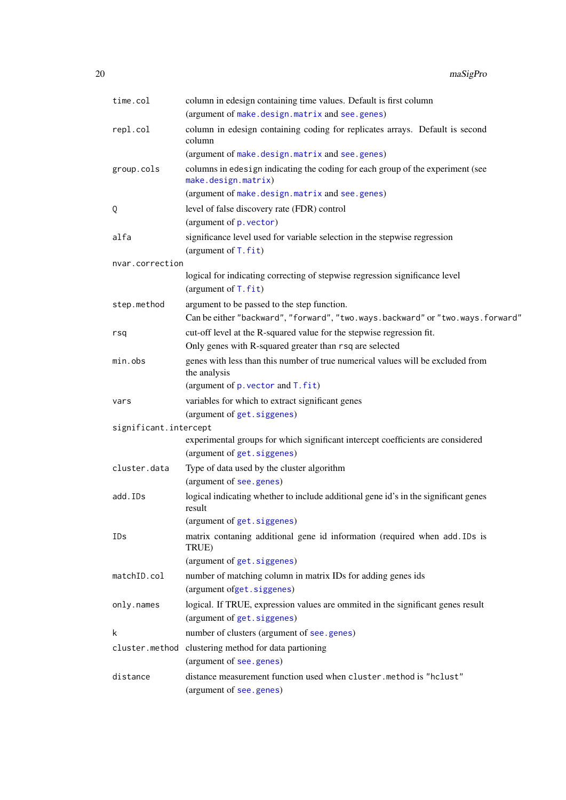<span id="page-19-0"></span>

| time.col              | column in edesign containing time values. Default is first column                                              |
|-----------------------|----------------------------------------------------------------------------------------------------------------|
|                       | (argument of make.design.matrix and see.genes)                                                                 |
| repl.col              | column in edesign containing coding for replicates arrays. Default is second<br>column                         |
|                       | (argument of make.design.matrix and see.genes)                                                                 |
| group.cols            | columns in edesign indicating the coding for each group of the experiment (see<br>make.design.matrix)          |
|                       | (argument of make.design.matrix and see.genes)                                                                 |
| Q                     | level of false discovery rate (FDR) control                                                                    |
|                       | (argument of p. vector)                                                                                        |
| alfa                  | significance level used for variable selection in the stepwise regression<br>(argument of $T$ . $fit$ )        |
| nvar.correction       |                                                                                                                |
|                       | logical for indicating correcting of stepwise regression significance level<br>(argument of T. fit)            |
| step.method           | argument to be passed to the step function.                                                                    |
|                       | Can be either "backward", "forward", "two.ways.backward" or "two.ways.forward"                                 |
| rsq                   | cut-off level at the R-squared value for the stepwise regression fit.                                          |
|                       | Only genes with R-squared greater than rsq are selected                                                        |
| min.obs               | genes with less than this number of true numerical values will be excluded from<br>the analysis                |
|                       | (argument of $p$ . vector and $T$ . $fit$ )                                                                    |
| vars                  | variables for which to extract significant genes                                                               |
|                       | (argument of get. siggenes)                                                                                    |
| significant.intercept |                                                                                                                |
|                       | experimental groups for which significant intercept coefficients are considered<br>(argument of get. siggenes) |
| cluster.data          | Type of data used by the cluster algorithm                                                                     |
|                       | (argument of see.genes)                                                                                        |
| add.IDs               | logical indicating whether to include additional gene id's in the significant genes<br>result                  |
|                       | (argument of get. siggenes)                                                                                    |
| IDs                   | matrix contaning additional gene id information (required when add. IDs is<br>TRUE)                            |
|                       | (argument of get. siggenes)                                                                                    |
| matchID.col           | number of matching column in matrix IDs for adding genes ids<br>(argument ofget.siggenes)                      |
| only.names            | logical. If TRUE, expression values are ommited in the significant genes result                                |
|                       | (argument of get. siggenes)                                                                                    |
| k                     | number of clusters (argument of see.genes)                                                                     |
|                       | cluster.method clustering method for data partioning                                                           |
|                       | (argument of see.genes)                                                                                        |
| distance              | distance measurement function used when cluster.method is "hclust"                                             |
|                       | (argument of see.genes)                                                                                        |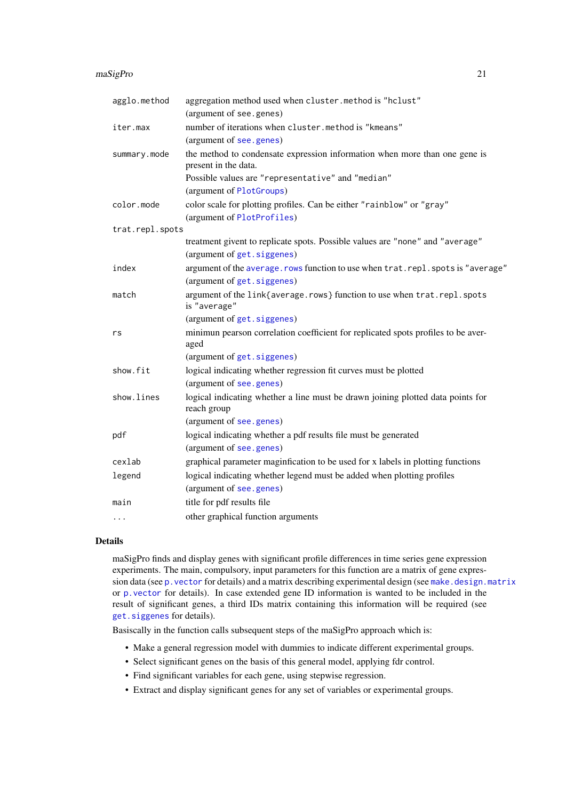<span id="page-20-0"></span>

| agglo.method    | aggregation method used when cluster.method is "hclust"                                                      |
|-----------------|--------------------------------------------------------------------------------------------------------------|
|                 | (argument of see.genes)                                                                                      |
| iter.max        | number of iterations when cluster.method is "kmeans"                                                         |
|                 | (argument of see.genes)                                                                                      |
| summary.mode    | the method to condensate expression information when more than one gene is<br>present in the data.           |
|                 | Possible values are "representative" and "median"                                                            |
|                 | (argument of PlotGroups)                                                                                     |
| color.mode      | color scale for plotting profiles. Can be either "rainblow" or "gray"                                        |
|                 | (argument of PlotProfiles)                                                                                   |
| trat.repl.spots |                                                                                                              |
|                 | treatment givent to replicate spots. Possible values are "none" and "average"<br>(argument of get. siggenes) |
| index           | argument of the average. rows function to use when trat. repl. spots is "average"                            |
|                 | (argument of get. siggenes)                                                                                  |
| match           | argument of the link{average.rows} function to use when trat.repl.spots<br>is "average"                      |
|                 | (argument of get. siggenes)                                                                                  |
| rs              | minimun pearson correlation coefficient for replicated spots profiles to be aver-<br>aged                    |
|                 | (argument of get. siggenes)                                                                                  |
| show.fit        | logical indicating whether regression fit curves must be plotted                                             |
|                 | (argument of see.genes)                                                                                      |
| show.lines      | logical indicating whether a line must be drawn joining plotted data points for<br>reach group               |
|                 | (argument of see.genes)                                                                                      |
| pdf             | logical indicating whether a pdf results file must be generated<br>(argument of see.genes)                   |
| cexlab          | graphical parameter maginfication to be used for x labels in plotting functions                              |
| legend          | logical indicating whether legend must be added when plotting profiles                                       |
|                 | (argument of see.genes)                                                                                      |
| main            | title for pdf results file                                                                                   |
| $\cdots$        | other graphical function arguments                                                                           |
|                 |                                                                                                              |

# Details

maSigPro finds and display genes with significant profile differences in time series gene expression experiments. The main, compulsory, input parameters for this function are a matrix of gene expression data (see p. vector for details) and a matrix describing experimental design (see [make.design.matrix](#page-17-1) or [p.vector](#page-25-1) for details). In case extended gene ID information is wanted to be included in the result of significant genes, a third IDs matrix containing this information will be required (see [get.siggenes](#page-6-1) for details).

Basiscally in the function calls subsequent steps of the maSigPro approach which is:

- Make a general regression model with dummies to indicate different experimental groups.
- Select significant genes on the basis of this general model, applying fdr control.
- Find significant variables for each gene, using stepwise regression.
- Extract and display significant genes for any set of variables or experimental groups.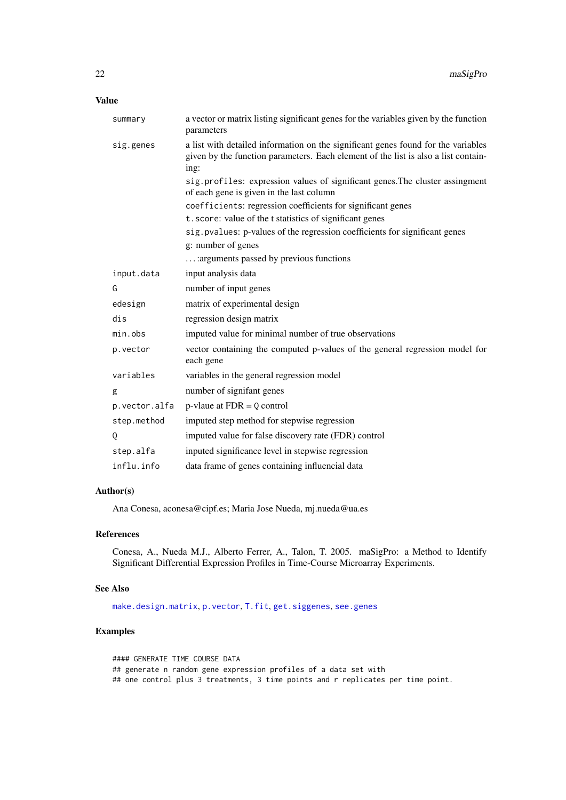# <span id="page-21-0"></span>Value

| summary       | a vector or matrix listing significant genes for the variables given by the function<br>parameters                                                                              |
|---------------|---------------------------------------------------------------------------------------------------------------------------------------------------------------------------------|
| sig.genes     | a list with detailed information on the significant genes found for the variables<br>given by the function parameters. Each element of the list is also a list contain-<br>ing: |
|               | sig.profiles: expression values of significant genes. The cluster assingment<br>of each gene is given in the last column                                                        |
|               | coefficients: regression coefficients for significant genes                                                                                                                     |
|               | t.score: value of the t statistics of significant genes                                                                                                                         |
|               | sig. pvalues: p-values of the regression coefficients for significant genes                                                                                                     |
|               | g: number of genes                                                                                                                                                              |
|               | : arguments passed by previous functions                                                                                                                                        |
| input.data    | input analysis data                                                                                                                                                             |
| G             | number of input genes                                                                                                                                                           |
| edesign       | matrix of experimental design                                                                                                                                                   |
| dis           | regression design matrix                                                                                                                                                        |
| min.obs       | imputed value for minimal number of true observations                                                                                                                           |
| p.vector      | vector containing the computed p-values of the general regression model for<br>each gene                                                                                        |
| variables     | variables in the general regression model                                                                                                                                       |
| g             | number of signifant genes                                                                                                                                                       |
| p.vector.alfa | $p$ -vlaue at FDR = $Q$ control                                                                                                                                                 |
| step.method   | imputed step method for stepwise regression                                                                                                                                     |
| Q             | imputed value for false discovery rate (FDR) control                                                                                                                            |
| step.alfa     | inputed significance level in stepwise regression                                                                                                                               |
| influ.info    | data frame of genes containing influencial data                                                                                                                                 |

# Author(s)

Ana Conesa, aconesa@cipf.es; Maria Jose Nueda, mj.nueda@ua.es

#### References

Conesa, A., Nueda M.J., Alberto Ferrer, A., Talon, T. 2005. maSigPro: a Method to Identify Significant Differential Expression Profiles in Time-Course Microarray Experiments.

# See Also

[make.design.matrix](#page-17-1), [p.vector](#page-25-1), [T.fit](#page-43-1), [get.siggenes](#page-6-1), [see.genes](#page-34-1)

```
#### GENERATE TIME COURSE DATA
## generate n random gene expression profiles of a data set with
## one control plus 3 treatments, 3 time points and r replicates per time point.
```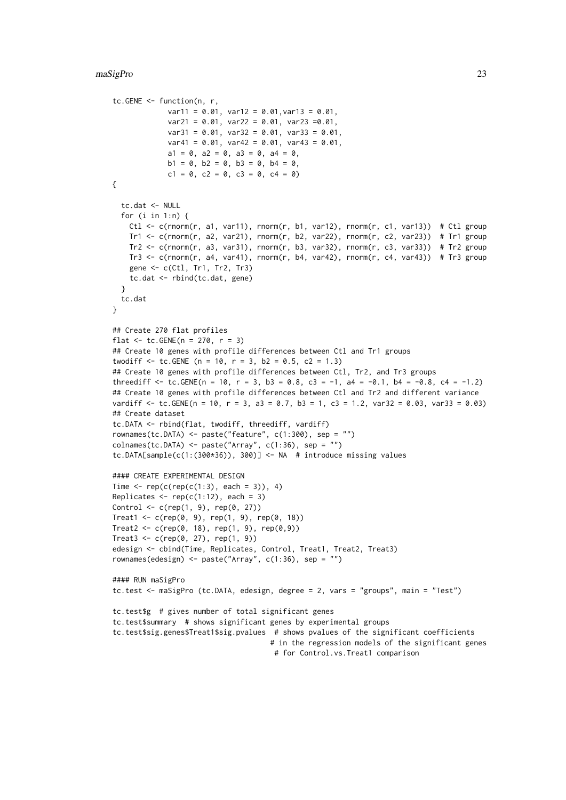```
tc.GENE <- function(n, r,
             var11 = 0.01, var12 = 0.01, var13 = 0.01,
             var21 = 0.01, var22 = 0.01, var23 = 0.01,
             var31 = 0.01, var32 = 0.01, var33 = 0.01,
             var41 = 0.01, var42 = 0.01, var43 = 0.01,
             a1 = 0, a2 = 0, a3 = 0, a4 = 0,
             b1 = 0, b2 = 0, b3 = 0, b4 = 0,
             c1 = 0, c2 = 0, c3 = 0, c4 = 0)
{
  tc.dat <- NULL
  for (i in 1:n) {
   Ctl \leq c(rnorm(r, a1, var11), rnorm(r, b1, var12), rnorm(r, c1, var13)) # Ctl group
    Tr1 \le c(rnorm(r, a2, var21), rnorm(r, b2, var22), rnorm(r, c2, var23)) # Tr1 group
    Tr2 \leq c(rnorm(r, a3, var31), rnorm(r, b3, var32), rnorm(r, c3, var33)) # Tr2 group
   Tr3 \leq c(rnorm(r, a4, var41), rnorm(r, b4, var42), rnorm(r, c4, var43)) # Tr3 group
    gene <- c(Ctl, Tr1, Tr2, Tr3)
    tc.dat <- rbind(tc.dat, gene)
  }
 tc.dat
}
## Create 270 flat profiles
flat \le tc. GENE(n = 270, r = 3)
## Create 10 genes with profile differences between Ctl and Tr1 groups
twodiff \leq tc. GENE (n = 10, r = 3, b2 = 0.5, c2 = 1.3)
## Create 10 genes with profile differences between Ctl, Tr2, and Tr3 groups
threediff \le tc.GENE(n = 10, r = 3, b3 = 0.8, c3 = -1, a4 = -0.1, b4 = -0.8, c4 = -1.2)
## Create 10 genes with profile differences between Ctl and Tr2 and different variance
vardiff <- tc.GENE(n = 10, r = 3, a3 = 0.7, b3 = 1, c3 = 1.2, var32 = 0.03, var33 = 0.03)
## Create dataset
tc.DATA <- rbind(flat, twodiff, threediff, vardiff)
rownames(tc.DATA) <- paste("feature", c(1:300), sep = "")
collnames(tc.DATA) \leftarrow paste("Array", c(1:36), sep = "")tc.DATA[sample(c(1:(300*36)), 300)] <- NA # introduce missing values
#### CREATE EXPERIMENTAL DESIGN
Time \leq rep(c(rep(c(1:3), each = 3)), 4)
Replicates \leq rep(c(1:12), each = 3)
Control <- c(rep(1, 9), rep(0, 27))
Treat1 <- c(rep(0, 9), rep(1, 9), rep(0, 18))
Treat2 < -c(rep(\emptyset, 18), rep(1, 9), rep(\emptyset, 9))Treat3 < -c(rep(0, 27), rep(1, 9))edesign <- cbind(Time, Replicates, Control, Treat1, Treat2, Treat3)
rownames(edesign) <- paste("Array", c(1:36), sep = "")
#### RUN maSigPro
tc.test <- maSigPro (tc.DATA, edesign, degree = 2, vars = "groups", main = "Test")
tc.test$g # gives number of total significant genes
tc.test$summary # shows significant genes by experimental groups
tc.test$sig.genes$Treat1$sig.pvalues # shows pvalues of the significant coefficients
                                      # in the regression models of the significant genes
                                       # for Control.vs.Treat1 comparison
```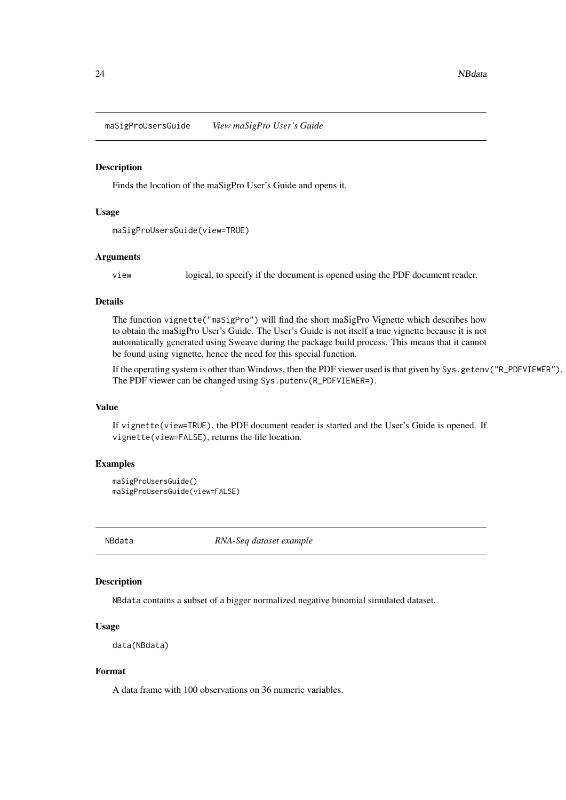<span id="page-23-0"></span>maSigProUsersGuide *View maSigPro User's Guide*

#### Description

Finds the location of the maSigPro User's Guide and opens it.

#### Usage

```
maSigProUsersGuide(view=TRUE)
```
#### Arguments

view logical, to specify if the document is opened using the PDF document reader.

# Details

The function vignette("maSigPro") will find the short maSigPro Vignette which describes how to obtain the maSigPro User's Guide. The User's Guide is not itself a true vignette because it is not automatically generated using Sweave during the package build process. This means that it cannot be found using vignette, hence the need for this special function.

If the operating system is other than Windows, then the PDF viewer used is that given by Sys.getenv("R\_PDFVIEWER"). The PDF viewer can be changed using Sys.putenv(R\_PDFVIEWER=).

#### Value

If vignette(view=TRUE), the PDF document reader is started and the User's Guide is opened. If vignette(view=FALSE), returns the file location.

#### Examples

```
maSigProUsersGuide()
maSigProUsersGuide(view=FALSE)
```
NBdata *RNA-Seq dataset example*

# Description

NBdata contains a subset of a bigger normalized negative binomial simulated dataset.

#### Usage

```
data(NBdata)
```
# Format

A data frame with 100 observations on 36 numeric variables.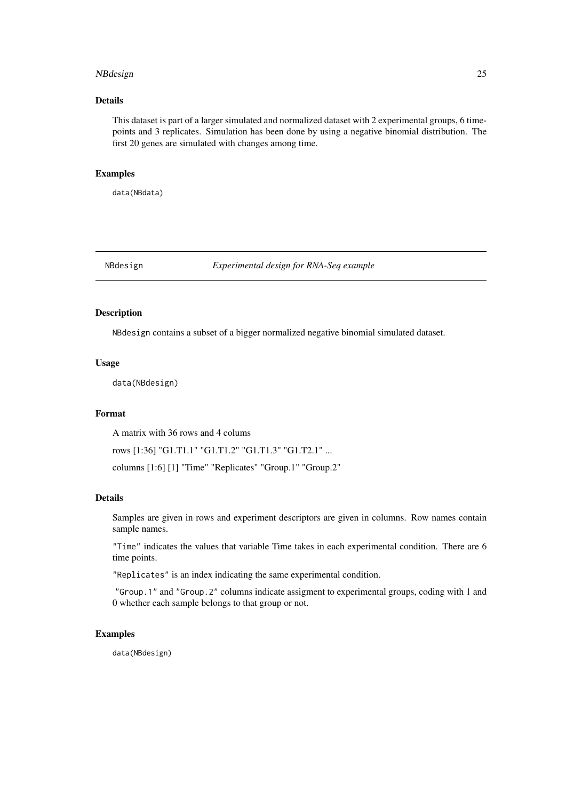#### <span id="page-24-0"></span>NBdesign 25

#### Details

This dataset is part of a larger simulated and normalized dataset with 2 experimental groups, 6 timepoints and 3 replicates. Simulation has been done by using a negative binomial distribution. The first 20 genes are simulated with changes among time.

# Examples

data(NBdata)

# NBdesign *Experimental design for RNA-Seq example*

# Description

NBdesign contains a subset of a bigger normalized negative binomial simulated dataset.

# Usage

data(NBdesign)

#### Format

A matrix with 36 rows and 4 colums

rows [1:36] "G1.T1.1" "G1.T1.2" "G1.T1.3" "G1.T2.1" ...

columns [1:6] [1] "Time" "Replicates" "Group.1" "Group.2"

#### Details

Samples are given in rows and experiment descriptors are given in columns. Row names contain sample names.

"Time" indicates the values that variable Time takes in each experimental condition. There are 6 time points.

"Replicates" is an index indicating the same experimental condition.

"Group.1" and "Group.2" columns indicate assigment to experimental groups, coding with 1 and 0 whether each sample belongs to that group or not.

#### Examples

data(NBdesign)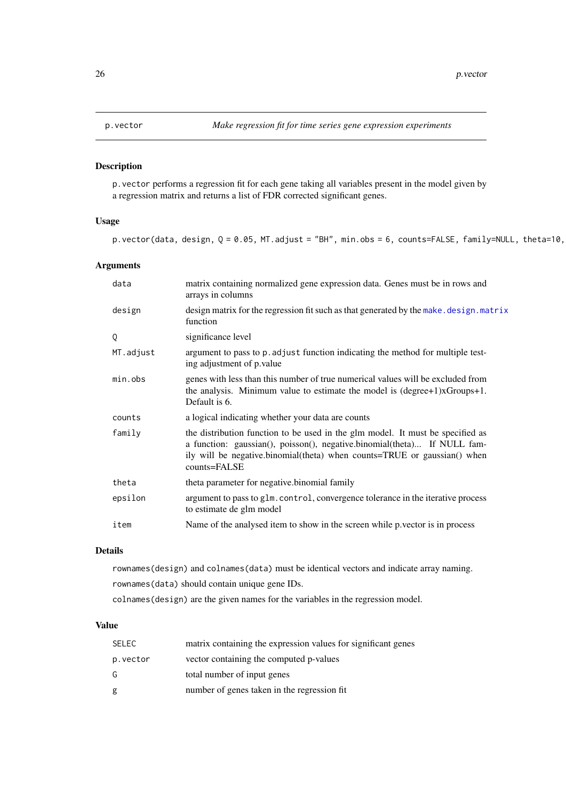# <span id="page-25-1"></span><span id="page-25-0"></span>Description

p.vector performs a regression fit for each gene taking all variables present in the model given by a regression matrix and returns a list of FDR corrected significant genes.

# Usage

p.vector(data, design,  $Q = 0.05$ , MT.adjust = "BH", min.obs = 6, counts=FALSE, family=NULL, theta=10,

# Arguments

| data      | matrix containing normalized gene expression data. Genes must be in rows and<br>arrays in columns                                                                                                                                                      |
|-----------|--------------------------------------------------------------------------------------------------------------------------------------------------------------------------------------------------------------------------------------------------------|
| design    | design matrix for the regression fit such as that generated by the make. design. matrix<br>function                                                                                                                                                    |
| Q         | significance level                                                                                                                                                                                                                                     |
| MT.adjust | argument to pass to p. adjust function indicating the method for multiple test-<br>ing adjustment of p.value                                                                                                                                           |
| min.obs   | genes with less than this number of true numerical values will be excluded from<br>the analysis. Minimum value to estimate the model is $(degree+1)xGroups+1$ .<br>Default is 6.                                                                       |
| counts    | a logical indicating whether your data are counts                                                                                                                                                                                                      |
| family    | the distribution function to be used in the glm model. It must be specified as<br>a function: gaussian(), poisson(), negative.binomial(theta) If NULL fam-<br>ily will be negative.binomial(theta) when counts=TRUE or gaussian() when<br>counts=FALSE |
| theta     | theta parameter for negative binomial family                                                                                                                                                                                                           |
| epsilon   | argument to pass to glm. control, convergence tolerance in the iterative process<br>to estimate de glm model                                                                                                                                           |
| item      | Name of the analysed item to show in the screen while p vector is in process                                                                                                                                                                           |

# Details

rownames(design) and colnames(data) must be identical vectors and indicate array naming. rownames(data) should contain unique gene IDs.

colnames(design) are the given names for the variables in the regression model.

# Value

| SELEC    | matrix containing the expression values for significant genes |
|----------|---------------------------------------------------------------|
| p.vector | vector containing the computed p-values                       |
| G        | total number of input genes                                   |
| g        | number of genes taken in the regression fit                   |
|          |                                                               |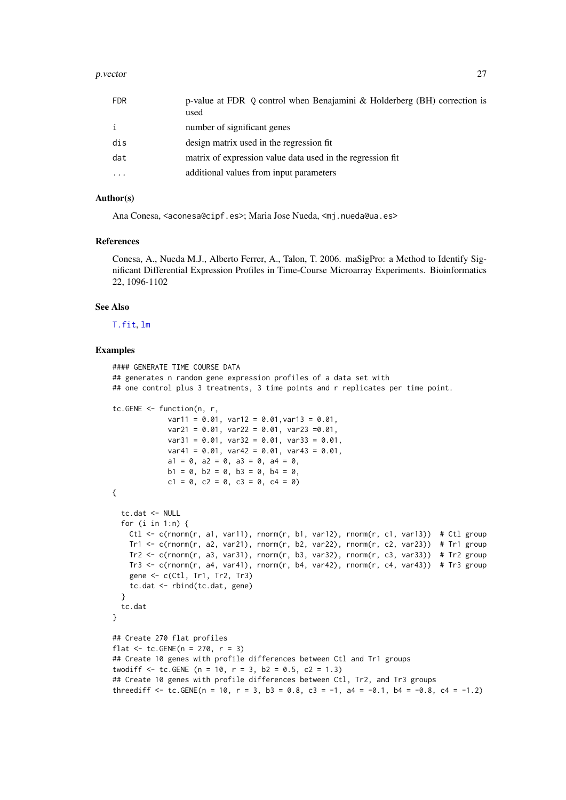#### <span id="page-26-0"></span>p. vector 27

| <b>FDR</b>   | p-value at FDR Q control when Benajamini & Holderberg (BH) correction is<br>used |
|--------------|----------------------------------------------------------------------------------|
| $\mathbf{i}$ | number of significant genes                                                      |
| dis          | design matrix used in the regression fit                                         |
| dat          | matrix of expression value data used in the regression fit                       |
|              | additional values from input parameters                                          |

# Author(s)

Ana Conesa, <aconesa@cipf.es>; Maria Jose Nueda, <mj.nueda@ua.es>

#### References

Conesa, A., Nueda M.J., Alberto Ferrer, A., Talon, T. 2006. maSigPro: a Method to Identify Significant Differential Expression Profiles in Time-Course Microarray Experiments. Bioinformatics 22, 1096-1102

# See Also

[T.fit](#page-43-1), [lm](#page-0-0)

```
#### GENERATE TIME COURSE DATA
## generates n random gene expression profiles of a data set with
## one control plus 3 treatments, 3 time points and r replicates per time point.
tc.GENE <- function(n, r,
             var11 = 0.01, var12 = 0.01, var13 = 0.01,
             var21 = 0.01, var22 = 0.01, var23 = 0.01,
             var31 = 0.01, var32 = 0.01, var33 = 0.01,
             var41 = 0.01, var42 = 0.01, var43 = 0.01,
             a1 = 0, a2 = 0, a3 = 0, a4 = 0,
             b1 = 0, b2 = 0, b3 = 0, b4 = 0,
             c1 = 0, c2 = 0, c3 = 0, c4 = 0)
{
  tc.dat <- NULL
  for (i in 1:n) {
   Ctl <- c(rnorm(r, a1, var11), rnorm(r, b1, var12), rnorm(r, c1, var13)) # Ctl group
    Tr1 <- c(rnorm(r, a2, var21), rnorm(r, b2, var22), rnorm(r, c2, var23)) # Tr1 group
    Tr2 <- c(rnorm(r, a3, var31), rnorm(r, b3, var32), rnorm(r, c3, var33)) # Tr2 group
    Tr3 \leq c(rnorm(r, a4, var41), rnorm(r, b4, var42), rnorm(r, c4, var43)) # Tr3 group
    gene <- c(Ctl, Tr1, Tr2, Tr3)
    tc.dat <- rbind(tc.dat, gene)
  }
  tc.dat
}
## Create 270 flat profiles
flat <- tc. GENE(n = 270, r = 3)
## Create 10 genes with profile differences between Ctl and Tr1 groups
twodiff \leq tc.GENE (n = 10, r = 3, b2 = 0.5, c2 = 1.3)
## Create 10 genes with profile differences between Ctl, Tr2, and Tr3 groups
threediff \leq tc.GENE(n = 10, r = 3, b3 = 0.8, c3 = -1, a4 = -0.1, b4 = -0.8, c4 = -1.2)
```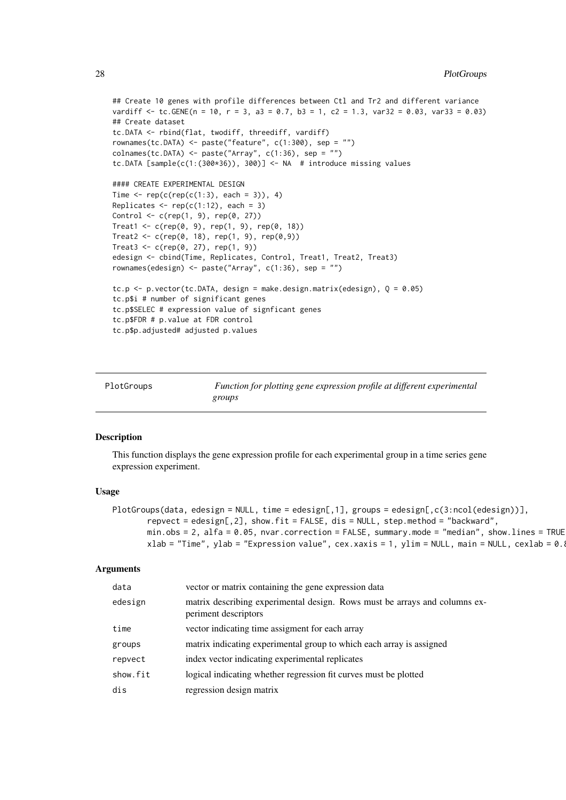```
## Create 10 genes with profile differences between Ctl and Tr2 and different variance
vardiff \le tc.GENE(n = 10, r = 3, a3 = 0.7, b3 = 1, c2 = 1.3, var32 = 0.03, var33 = 0.03)
## Create dataset
tc.DATA <- rbind(flat, twodiff, threediff, vardiff)
rownames(tc.DATA) <- paste("feature", c(1:300), sep = "")
colnames(tc.DATA) <- paste("Array", c(1:36), sep = "")
tc.DATA [sample(c(1:(300*36)), 300)] <- NA # introduce missing values
#### CREATE EXPERIMENTAL DESIGN
Time \leq rep(c(rep(c(1:3), each = 3)), 4)
Replicates \leq rep(c(1:12), each = 3)
Control \leq c(rep(1, 9), rep(0, 27))
Treat1 <- c(rep(0, 9), rep(1, 9), rep(0, 18))
Treat2 <- c(rep(0, 18), rep(1, 9), rep(0,9))
Treat3 < -c(rep(0, 27), rep(1, 9))edesign <- cbind(Time, Replicates, Control, Treat1, Treat2, Treat3)
rownames(edesign) <- paste("Array", c(1:36), sep = "")
tc.p \leq - p.vector(tc.DATA, design = make.design.matrix(edesign), Q = 0.05)
tc.p$i # number of significant genes
tc.p$SELEC # expression value of signficant genes
tc.p$FDR # p.value at FDR control
tc.p$p.adjusted# adjusted p.values
```
<span id="page-27-1"></span>

| PlotGroups |  |
|------------|--|
|------------|--|

Function for plotting gene expression profile at different experimental *groups*

#### Description

This function displays the gene expression profile for each experimental group in a time series gene expression experiment.

#### Usage

```
PlotGroups(data, edesign = NULL, time = edesign[,1], groups = edesign[,c(3:ncol(edesign))],
       repvect = edesign[,2], show.fit = FALSE, dis = NULL, step.method = "backward",
       min. obs = 2, alfa = 0.05, nvar.correction = FALSE, summary.mode = "median", show.lines = TRUE
       xlab = "Time", ylab = "Expression value", cex.xaxis = 1, ylim = NULL, main = NULL, cexlab = 0.
```
#### Arguments

| data     | vector or matrix containing the gene expression data                                               |
|----------|----------------------------------------------------------------------------------------------------|
| edesign  | matrix describing experimental design. Rows must be arrays and columns ex-<br>periment descriptors |
| time     | vector indicating time assigment for each array                                                    |
| groups   | matrix indicating experimental group to which each array is assigned                               |
| repvect  | index vector indicating experimental replicates                                                    |
| show.fit | logical indicating whether regression fit curves must be plotted                                   |
| dis      | regression design matrix                                                                           |

<span id="page-27-0"></span>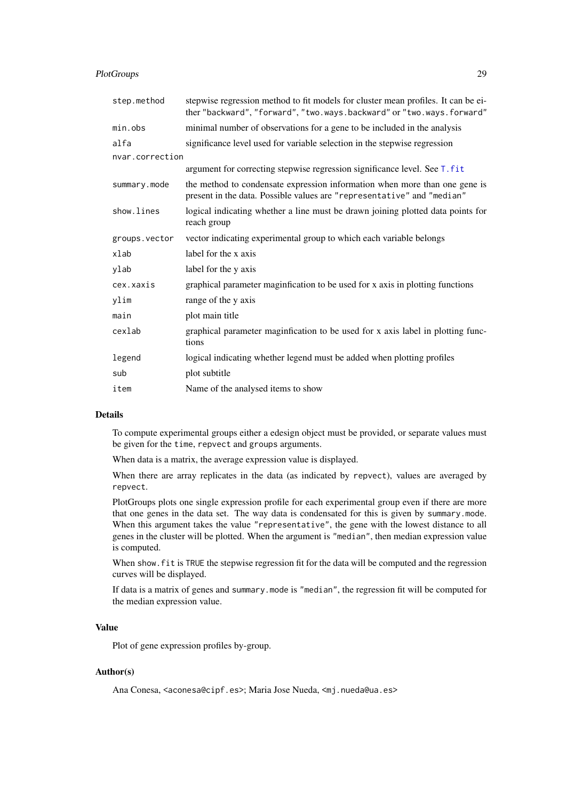#### <span id="page-28-0"></span>PlotGroups 29

| stepwise regression method to fit models for cluster mean profiles. It can be ei-<br>ther "backward", "forward", "two.ways.backward" or "two.ways.forward" |
|------------------------------------------------------------------------------------------------------------------------------------------------------------|
| minimal number of observations for a gene to be included in the analysis                                                                                   |
| significance level used for variable selection in the stepwise regression                                                                                  |
| nvar.correction                                                                                                                                            |
| argument for correcting stepwise regression significance level. See T. fit                                                                                 |
| the method to condensate expression information when more than one gene is<br>present in the data. Possible values are "representative" and "median"       |
| logical indicating whether a line must be drawn joining plotted data points for<br>reach group                                                             |
| vector indicating experimental group to which each variable belongs                                                                                        |
| label for the x axis                                                                                                                                       |
| label for the y axis                                                                                                                                       |
| graphical parameter maginfication to be used for x axis in plotting functions                                                                              |
| range of the y axis                                                                                                                                        |
| plot main title                                                                                                                                            |
| graphical parameter maginfication to be used for x axis label in plotting func-<br>tions                                                                   |
| logical indicating whether legend must be added when plotting profiles                                                                                     |
| plot subtitle                                                                                                                                              |
| Name of the analysed items to show                                                                                                                         |
|                                                                                                                                                            |

# Details

To compute experimental groups either a edesign object must be provided, or separate values must be given for the time, repvect and groups arguments.

When data is a matrix, the average expression value is displayed.

When there are array replicates in the data (as indicated by repvect), values are averaged by repvect.

PlotGroups plots one single expression profile for each experimental group even if there are more that one genes in the data set. The way data is condensated for this is given by summary.mode. When this argument takes the value "representative", the gene with the lowest distance to all genes in the cluster will be plotted. When the argument is "median", then median expression value is computed.

When show. fit is TRUE the stepwise regression fit for the data will be computed and the regression curves will be displayed.

If data is a matrix of genes and summary.mode is "median", the regression fit will be computed for the median expression value.

#### Value

Plot of gene expression profiles by-group.

# Author(s)

Ana Conesa, <aconesa@cipf.es>; Maria Jose Nueda, <mj.nueda@ua.es>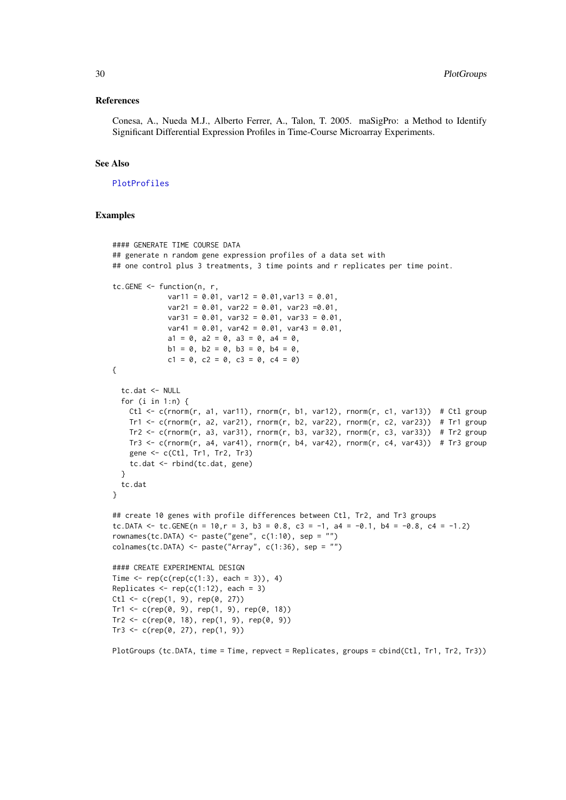#### <span id="page-29-0"></span>References

Conesa, A., Nueda M.J., Alberto Ferrer, A., Talon, T. 2005. maSigPro: a Method to Identify Significant Differential Expression Profiles in Time-Course Microarray Experiments.

# See Also

#### [PlotProfiles](#page-30-1)

#### Examples

```
#### GENERATE TIME COURSE DATA
## generate n random gene expression profiles of a data set with
## one control plus 3 treatments, 3 time points and r replicates per time point.
tc.GENE <- function(n, r,
             var11 = 0.01, var12 = 0.01, var13 = 0.01,
             var21 = 0.01, var22 = 0.01, var23 = 0.01,
             var31 = 0.01, var32 = 0.01, var33 = 0.01,
             var41 = 0.01, var42 = 0.01, var43 = 0.01,
             a1 = 0, a2 = 0, a3 = 0, a4 = 0,
             b1 = 0, b2 = 0, b3 = 0, b4 = 0,
             c1 = 0, c2 = 0, c3 = 0, c4 = 0)
{
  tc.dat <- NULL
  for (i in 1:n) {
   Ctl \leq c(rnorm(r, a1, var11), rnorm(r, b1, var12), rnorm(r, c1, var13)) # Ctl group
    Tr1 <- c(rnorm(r, a2, var21), rnorm(r, b2, var22), rnorm(r, c2, var23)) # Tr1 group
    Tr2 <- c(rnorm(r, a3, var31), rnorm(r, b3, var32), rnorm(r, c3, var33)) # Tr2 group
   Tr3 \leq c(rnorm(r, a4, var41), rnorm(r, b4, var42), rnorm(r, c4, var43)) # Tr3 group
    gene <- c(Ctl, Tr1, Tr2, Tr3)
    tc.dat <- rbind(tc.dat, gene)
  }
  tc.dat
}
## create 10 genes with profile differences between Ctl, Tr2, and Tr3 groups
tc.DATA \leq tc.GENE(n = 10, r = 3, b3 = 0.8, c3 = -1, a4 = -0.1, b4 = -0.8, c4 = -1.2)
rownames(tc.DATA) <- paste("gene", c(1:10), sep = "")
colnames(tc.DATA) <- paste("Array", c(1:36), sep = "")
#### CREATE EXPERIMENTAL DESIGN
Time \leq rep(c(rep(c(1:3), each = 3)), 4)
Replicates \leq rep(c(1:12), each = 3)
Ct1 \leq c(rep(1, 9), rep(0, 27))Tr1 < -c(rep(\theta, 9), rep(1, 9), rep(\theta, 18))Tr2 < -c(rep(\theta, 18), rep(1, 9), rep(\theta, 9))Tr3 < -c(rep(\theta, 27), rep(1, 9))
```
PlotGroups (tc.DATA, time = Time, repvect = Replicates, groups = cbind(Ctl, Tr1, Tr2, Tr3))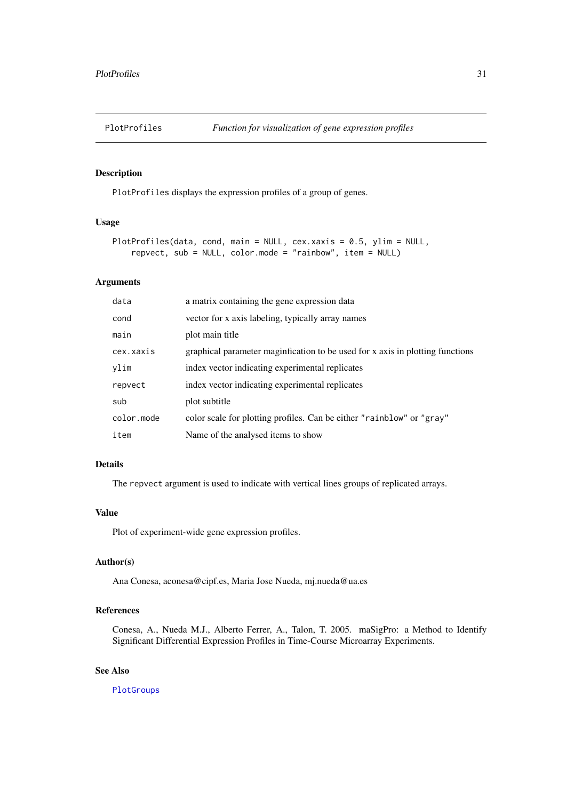<span id="page-30-1"></span><span id="page-30-0"></span>

# Description

PlotProfiles displays the expression profiles of a group of genes.

# Usage

```
PlotProfiles(data, cond, main = NULL, cex.xaxis = 0.5, ylim = NULL,
   repvect, sub = NULL, color.mode = "rainbow", item = NULL)
```
#### Arguments

| data       | a matrix containing the gene expression data                                  |
|------------|-------------------------------------------------------------------------------|
| cond       | vector for x axis labeling, typically array names                             |
| main       | plot main title                                                               |
| cex.xaxis  | graphical parameter maginfication to be used for x axis in plotting functions |
| ylim       | index vector indicating experimental replicates                               |
| repvect    | index vector indicating experimental replicates                               |
| sub        | plot subtitle                                                                 |
| color.mode | color scale for plotting profiles. Can be either "rainblow" or "gray"         |
| item       | Name of the analysed items to show                                            |

# Details

The repvect argument is used to indicate with vertical lines groups of replicated arrays.

# Value

Plot of experiment-wide gene expression profiles.

# Author(s)

Ana Conesa, aconesa@cipf.es, Maria Jose Nueda, mj.nueda@ua.es

# References

Conesa, A., Nueda M.J., Alberto Ferrer, A., Talon, T. 2005. maSigPro: a Method to Identify Significant Differential Expression Profiles in Time-Course Microarray Experiments.

# See Also

[PlotGroups](#page-27-1)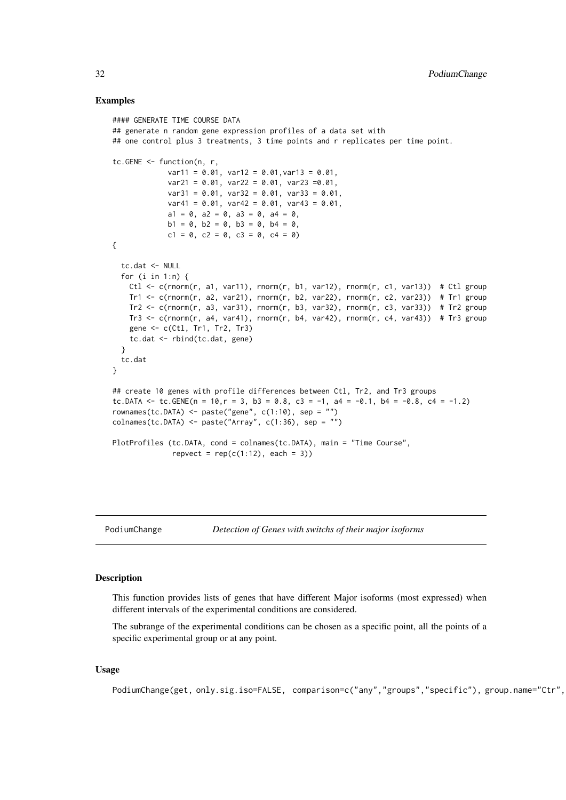#### Examples

```
#### GENERATE TIME COURSE DATA
## generate n random gene expression profiles of a data set with
## one control plus 3 treatments, 3 time points and r replicates per time point.
tc.GENE <- function(n, r,
             var11 = 0.01, var12 = 0.01, var13 = 0.01,
             var21 = 0.01, var22 = 0.01, var23 = 0.01,
             var31 = 0.01, var32 = 0.01, var33 = 0.01,
             var41 = 0.01, var42 = 0.01, var43 = 0.01,
             a1 = 0, a2 = 0, a3 = 0, a4 = 0,
             b1 = 0, b2 = 0, b3 = 0, b4 = 0,
             c1 = 0, c2 = 0, c3 = 0, c4 = 0)
{
  tc.dat <- NULL
  for (i in 1:n) {
   Ctl \leq c(rnorm(r, a1, var11), rnorm(r, b1, var12), rnorm(r, c1, var13)) # Ctl group
   Tr1 <- c(rnorm(r, a2, var21), rnorm(r, b2, var22), rnorm(r, c2, var23)) # Tr1 group
   Tr2 \leq c(rnorm(r, a3, var31), rnorm(r, b3, var32), rnorm(r, c3, var33)) # Tr2 group
   Tr3 \leq c(rnorm(r, a4, var41), rnorm(r, b4, var42), rnorm(r, c4, var43)) # Tr3 group
    gene <- c(Ctl, Tr1, Tr2, Tr3)
    tc.dat <- rbind(tc.dat, gene)
  }
  tc.dat
}
## create 10 genes with profile differences between Ctl, Tr2, and Tr3 groups
tc.DATA \le tc.GENE(n = 10,r = 3, b3 = 0.8, c3 = -1, a4 = -0.1, b4 = -0.8, c4 = -1.2)
rownames(tc.DATA) <- paste("gene", c(1:10), sep = "")
collnames(tc.DATA) \leftarrow paste('Array", c(1:36), sep = "")PlotProfiles (tc.DATA, cond = colnames(tc.DATA), main = "Time Course",
              repvect = rep(c(1:12), each = 3)
```
PodiumChange *Detection of Genes with switchs of their major isoforms*

#### Description

This function provides lists of genes that have different Major isoforms (most expressed) when different intervals of the experimental conditions are considered.

The subrange of the experimental conditions can be chosen as a specific point, all the points of a specific experimental group or at any point.

# Usage

```
PodiumChange(get, only.sig.iso=FALSE, comparison=c("any","groups","specific"), group.name="Ctr",
```
<span id="page-31-0"></span>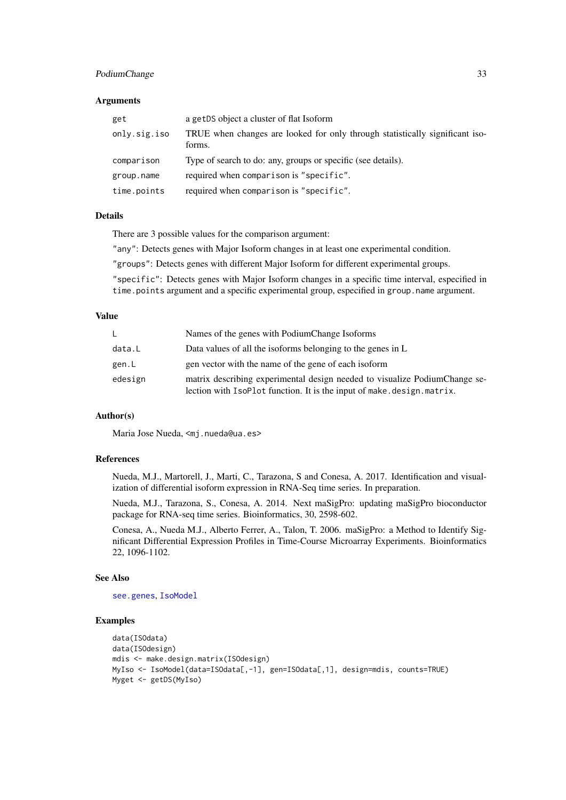#### <span id="page-32-0"></span>PodiumChange 33

#### Arguments

| get          | a getDS object a cluster of flat Isoform                                               |
|--------------|----------------------------------------------------------------------------------------|
| only.sig.iso | TRUE when changes are looked for only through statistically significant iso-<br>forms. |
| comparison   | Type of search to do: any, groups or specific (see details).                           |
| group.name   | required when comparison is "specific".                                                |
| time.points  | required when comparison is "specific".                                                |

#### Details

There are 3 possible values for the comparison argument:

"any": Detects genes with Major Isoform changes in at least one experimental condition.

"groups": Detects genes with different Major Isoform for different experimental groups.

"specific": Detects genes with Major Isoform changes in a specific time interval, especified in time.points argument and a specific experimental group, especified in group.name argument.

# Value

|         | Names of the genes with PodiumChange Isoforms                                                                                                       |
|---------|-----------------------------------------------------------------------------------------------------------------------------------------------------|
| data.L  | Data values of all the isoforms belonging to the genes in L                                                                                         |
| gen.L   | gen vector with the name of the gene of each isoform                                                                                                |
| edesign | matrix describing experimental design needed to visualize PodiumChange se-<br>lection with IsoPlot function. It is the input of make.design.matrix. |

#### Author(s)

Maria Jose Nueda, <mj.nueda@ua.es>

# References

Nueda, M.J., Martorell, J., Marti, C., Tarazona, S and Conesa, A. 2017. Identification and visualization of differential isoform expression in RNA-Seq time series. In preparation.

Nueda, M.J., Tarazona, S., Conesa, A. 2014. Next maSigPro: updating maSigPro bioconductor package for RNA-seq time series. Bioinformatics, 30, 2598-602.

Conesa, A., Nueda M.J., Alberto Ferrer, A., Talon, T. 2006. maSigPro: a Method to Identify Significant Differential Expression Profiles in Time-Course Microarray Experiments. Bioinformatics 22, 1096-1102.

# See Also

[see.genes](#page-34-1), [IsoModel](#page-14-1)

```
data(ISOdata)
data(ISOdesign)
mdis <- make.design.matrix(ISOdesign)
MyIso <- IsoModel(data=ISOdata[,-1], gen=ISOdata[,1], design=mdis, counts=TRUE)
Myget <- getDS(MyIso)
```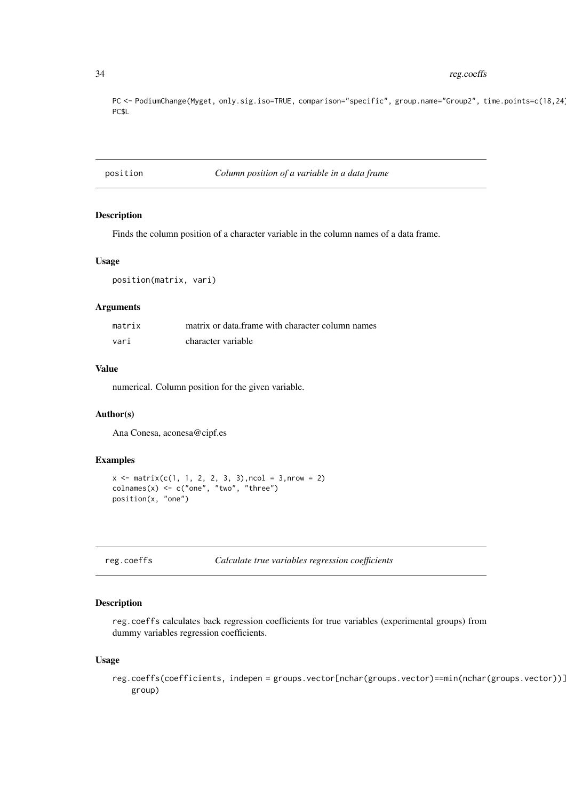PC <- PodiumChange(Myget, only.sig.iso=TRUE, comparison="specific", group.name="Group2", time.points=c(18,24)) PC\$L

position *Column position of a variable in a data frame*

#### Description

Finds the column position of a character variable in the column names of a data frame.

#### Usage

position(matrix, vari)

# Arguments

| matrix | matrix or data frame with character column names |
|--------|--------------------------------------------------|
| vari   | character variable                               |

# Value

numerical. Column position for the given variable.

# Author(s)

Ana Conesa, aconesa@cipf.es

#### Examples

```
x \le matrix(c(1, 1, 2, 2, 3, 3), ncol = 3, nrow = 2)
\text{columns}(x) \leq c("one", "two", "three")position(x, "one")
```
reg.coeffs *Calculate true variables regression coefficients*

#### Description

reg.coeffs calculates back regression coefficients for true variables (experimental groups) from dummy variables regression coefficients.

# Usage

reg.coeffs(coefficients, indepen = groups.vector[nchar(groups.vector)==min(nchar(groups.vector))] group)

<span id="page-33-0"></span>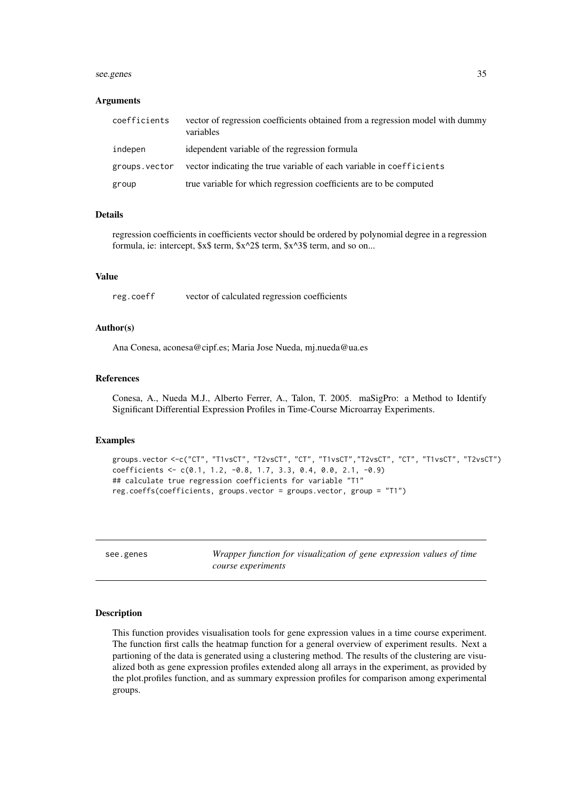#### <span id="page-34-0"></span>see.genes 35

#### Arguments

| coefficients  | vector of regression coefficients obtained from a regression model with dummy<br>variables |
|---------------|--------------------------------------------------------------------------------------------|
| indepen       | idependent variable of the regression formula                                              |
| groups.vector | vector indicating the true variable of each variable in coefficients                       |
| group         | true variable for which regression coefficients are to be computed                         |

# Details

regression coefficients in coefficients vector should be ordered by polynomial degree in a regression formula, ie: intercept, \$x\$ term, \$x^2\$ term, \$x^3\$ term, and so on...

# Value

reg.coeff vector of calculated regression coefficients

# Author(s)

Ana Conesa, aconesa@cipf.es; Maria Jose Nueda, mj.nueda@ua.es

#### References

Conesa, A., Nueda M.J., Alberto Ferrer, A., Talon, T. 2005. maSigPro: a Method to Identify Significant Differential Expression Profiles in Time-Course Microarray Experiments.

#### Examples

```
groups.vector <-c("CT", "T1vsCT", "T2vsCT", "CT", "T1vsCT","T2vsCT", "CT", "T1vsCT", "T2vsCT")
coefficients <- c(0.1, 1.2, -0.8, 1.7, 3.3, 0.4, 0.0, 2.1, -0.9)
## calculate true regression coefficients for variable "T1"
reg.coeffs(coefficients, groups.vector = groups.vector, group = "T1")
```
<span id="page-34-1"></span>see.genes *Wrapper function for visualization of gene expression values of time course experiments*

#### Description

This function provides visualisation tools for gene expression values in a time course experiment. The function first calls the heatmap function for a general overview of experiment results. Next a partioning of the data is generated using a clustering method. The results of the clustering are visualized both as gene expression profiles extended along all arrays in the experiment, as provided by the plot.profiles function, and as summary expression profiles for comparison among experimental groups.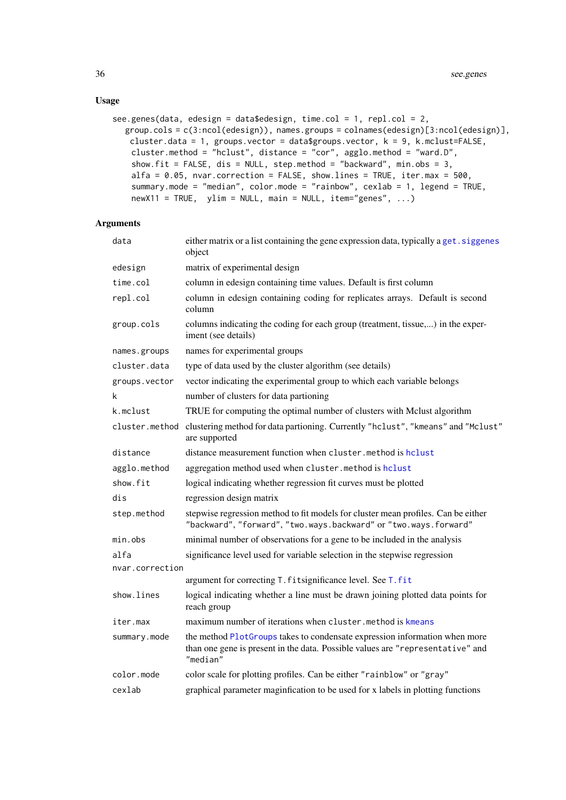# <span id="page-35-0"></span>Usage

```
see.genes(data, edesign = data$edesign, time.col = 1, repl.col = 2,
  group.cols = c(3:ncol(edesign)), names.groups = colnames(edesign)[3:ncol(edesign)],
   cluster.data = 1, groups.vector = data$groups.vector, k = 9, k.mclust=FALSE,
    cluster.method = "hclust", distance = "cor", agglo.method = "ward.D",
    show.fit = FALSE, dis = NULL, step.method = "backward", min.obs = 3,
   alfa = 0.05, nvar.correction = FALSE, show.lines = TRUE, iter.max = 500,
    summary.mode = "median", color.mode = "rainbow", cexlab = 1, legend = TRUE,
   newX11 = TRUE, ylim = NULL, main = NULL, item="genes", ...)
```
# Arguments

| data            | either matrix or a list containing the gene expression data, typically a get. siggenes<br>object                                                                         |
|-----------------|--------------------------------------------------------------------------------------------------------------------------------------------------------------------------|
| edesign         | matrix of experimental design                                                                                                                                            |
| time.col        | column in edesign containing time values. Default is first column                                                                                                        |
| repl.col        | column in edesign containing coding for replicates arrays. Default is second<br>column                                                                                   |
| group.cols      | columns indicating the coding for each group (treatment, tissue,) in the exper-<br>iment (see details)                                                                   |
| names.groups    | names for experimental groups                                                                                                                                            |
| cluster.data    | type of data used by the cluster algorithm (see details)                                                                                                                 |
| groups.vector   | vector indicating the experimental group to which each variable belongs                                                                                                  |
| k               | number of clusters for data partioning                                                                                                                                   |
| k.mclust        | TRUE for computing the optimal number of clusters with Mclust algorithm                                                                                                  |
| cluster.method  | clustering method for data partioning. Currently "hclust", "kmeans" and "Mclust"<br>are supported                                                                        |
| distance        | distance measurement function when cluster, method is holust                                                                                                             |
| agglo.method    | aggregation method used when cluster.method is hclust                                                                                                                    |
| show.fit        | logical indicating whether regression fit curves must be plotted                                                                                                         |
| dis             | regression design matrix                                                                                                                                                 |
| step.method     | stepwise regression method to fit models for cluster mean profiles. Can be either<br>"backward", "forward", "two.ways.backward" or "two.ways.forward"                    |
| min.obs         | minimal number of observations for a gene to be included in the analysis                                                                                                 |
| alfa            | significance level used for variable selection in the stepwise regression                                                                                                |
| nvar.correction |                                                                                                                                                                          |
|                 | argument for correcting T. fitsignificance level. See T. fit                                                                                                             |
| show.lines      | logical indicating whether a line must be drawn joining plotted data points for<br>reach group                                                                           |
| iter.max        | maximum number of iterations when cluster.method is kmeans                                                                                                               |
| summary.mode    | the method PlotGroups takes to condensate expression information when more<br>than one gene is present in the data. Possible values are "representative" and<br>"median" |
| color.mode      | color scale for plotting profiles. Can be either "rainblow" or "gray"                                                                                                    |
| cexlab          | graphical parameter maginfication to be used for x labels in plotting functions                                                                                          |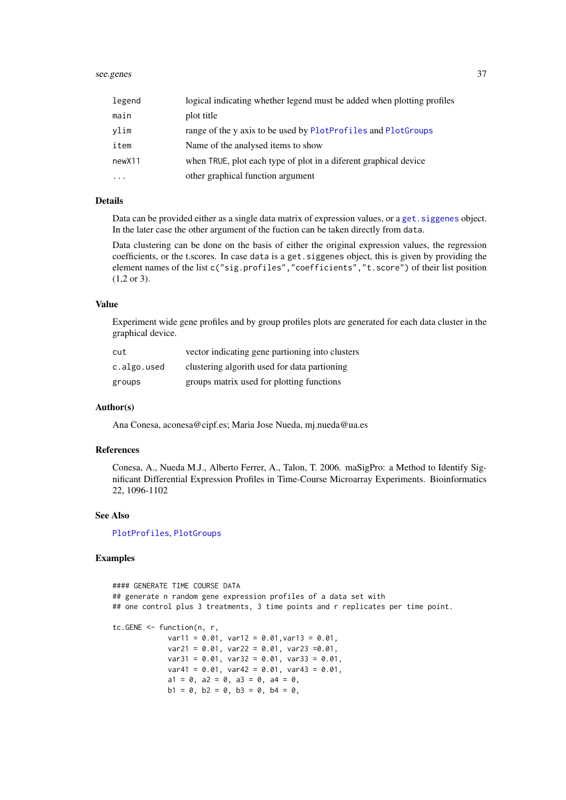#### <span id="page-36-0"></span>see.genes 37

| legend             | logical indicating whether legend must be added when plotting profiles |
|--------------------|------------------------------------------------------------------------|
| main               | plot title                                                             |
| vlim               | range of the y axis to be used by PlotProfiles and PlotGroups          |
| item               | Name of the analysed items to show                                     |
| new <sub>X11</sub> | when TRUE, plot each type of plot in a diferent graphical device       |
|                    | other graphical function argument                                      |

# Details

Data can be provided either as a single data matrix of expression values, or a [get.siggenes](#page-6-1) object. In the later case the other argument of the fuction can be taken directly from data.

Data clustering can be done on the basis of either the original expression values, the regression coefficients, or the t.scores. In case data is a get.siggenes object, this is given by providing the element names of the list c("sig.profiles","coefficients","t.score") of their list position (1,2 or 3).

#### Value

Experiment wide gene profiles and by group profiles plots are generated for each data cluster in the graphical device.

| cut         | vector indicating gene partioning into clusters |
|-------------|-------------------------------------------------|
| c.algo.used | clustering algorith used for data partioning    |
| groups      | groups matrix used for plotting functions       |

#### Author(s)

Ana Conesa, aconesa@cipf.es; Maria Jose Nueda, mj.nueda@ua.es

#### References

Conesa, A., Nueda M.J., Alberto Ferrer, A., Talon, T. 2006. maSigPro: a Method to Identify Significant Differential Expression Profiles in Time-Course Microarray Experiments. Bioinformatics 22, 1096-1102

# See Also

[PlotProfiles](#page-30-1), [PlotGroups](#page-27-1)

```
#### GENERATE TIME COURSE DATA
## generate n random gene expression profiles of a data set with
## one control plus 3 treatments, 3 time points and r replicates per time point.
tc.GENE <- function(n, r,
             var11 = 0.01, var12 = 0.01,var13 = 0.01,
             var21 = 0.01, var22 = 0.01, var23 = 0.01,
             var31 = 0.01, var32 = 0.01, var33 = 0.01,
             var41 = 0.01, var42 = 0.01, var43 = 0.01,
             a1 = 0, a2 = 0, a3 = 0, a4 = 0,
             b1 = 0, b2 = 0, b3 = 0, b4 = 0,
```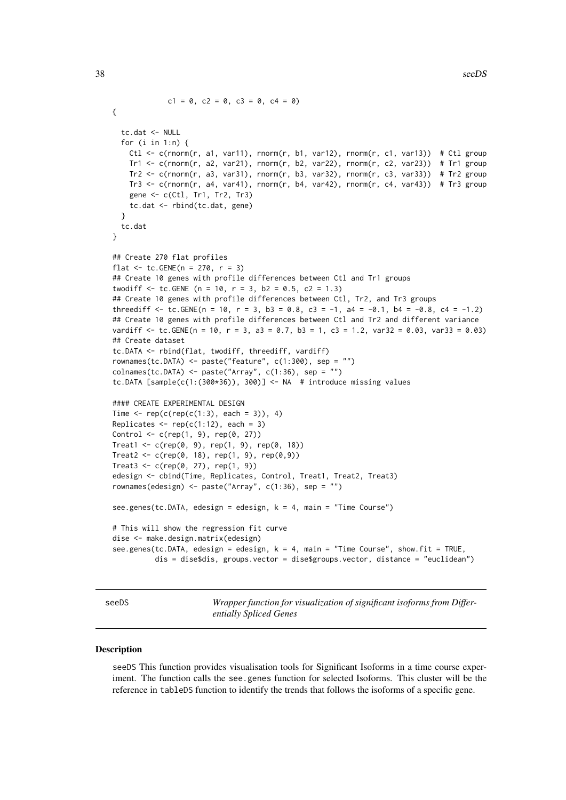```
c1 = 0, c2 = 0, c3 = 0, c4 = 0)
{
  tc.dat <- NULL
  for (i in 1:n) {
    Ctl <- c(rnorm(r, a1, var11), rnorm(r, b1, var12), rnorm(r, c1, var13)) # Ctl group
    Tr1 <- c(rnorm(r, a2, var21), rnorm(r, b2, var22), rnorm(r, c2, var23)) # Tr1 group
    Tr2 \leftarrow c (rnorm(r, a3, var31), rnorm(r, b3, var32), rnorm(r, c3, var33)) # Tr2 group
    Tr3 \leq c(rnorm(r, a4, var41), rnorm(r, b4, var42), rnorm(r, c4, var43)) # Tr3 group
    gene <- c(Ctl, Tr1, Tr2, Tr3)
    tc.dat <- rbind(tc.dat, gene)
  }
  tc.dat
}
## Create 270 flat profiles
flat <- tc.GENE(n = 270, r = 3)
## Create 10 genes with profile differences between Ctl and Tr1 groups
twodiff \le tc.GENE (n = 10, r = 3, b2 = 0.5, c2 = 1.3)
## Create 10 genes with profile differences between Ctl, Tr2, and Tr3 groups
threediff \leq tc.GENE(n = 10, r = 3, b3 = 0.8, c3 = -1, a4 = -0.1, b4 = -0.8, c4 = -1.2)
## Create 10 genes with profile differences between Ctl and Tr2 and different variance
vardiff \le tc.GENE(n = 10, r = 3, a3 = 0.7, b3 = 1, c3 = 1.2, var32 = 0.03, var33 = 0.03)
## Create dataset
tc.DATA <- rbind(flat, twodiff, threediff, vardiff)
rownames(tc.DATA) <- paste("feature", c(1:300), sep = "")
collnames(tc.DATA) \leq-paste('Array", c(1:36), sep = "")tc.DATA [sample(c(1:(300*36)), 300)] <- NA # introduce missing values
#### CREATE EXPERIMENTAL DESIGN
Time \leq rep(c(rep(c(1:3), each = 3)), 4)
Replicates \leq rep(c(1:12), each = 3)
Control \leq c (rep(1, 9), rep(0, 27))
Treat1 <- c(rep(0, 9), rep(1, 9), rep(0, 18))
Treat2 <- c(rep(0, 18), rep(1, 9), rep(0,9))
Treat3 <- c(rep(0, 27), rep(1, 9))
edesign <- cbind(Time, Replicates, Control, Treat1, Treat2, Treat3)
rownames(edesign) <- paste("Array", c(1:36), sep = "")
see.genes(tc.DATA, edesign = edesign, k = 4, main = "Time Course")
# This will show the regression fit curve
dise <- make.design.matrix(edesign)
see.genes(tc.DATA, edesign = edesign, k = 4, main = "Time Course", show.fit = TRUE,
          dis = dise$dis, groups.vector = dise$groups.vector, distance = "euclidean")
```
<span id="page-37-1"></span>seeDS *Wrapper function for visualization of significant isoforms from Differentially Spliced Genes*

#### Description

seeDS This function provides visualisation tools for Significant Isoforms in a time course experiment. The function calls the see.genes function for selected Isoforms. This cluster will be the reference in tableDS function to identify the trends that follows the isoforms of a specific gene.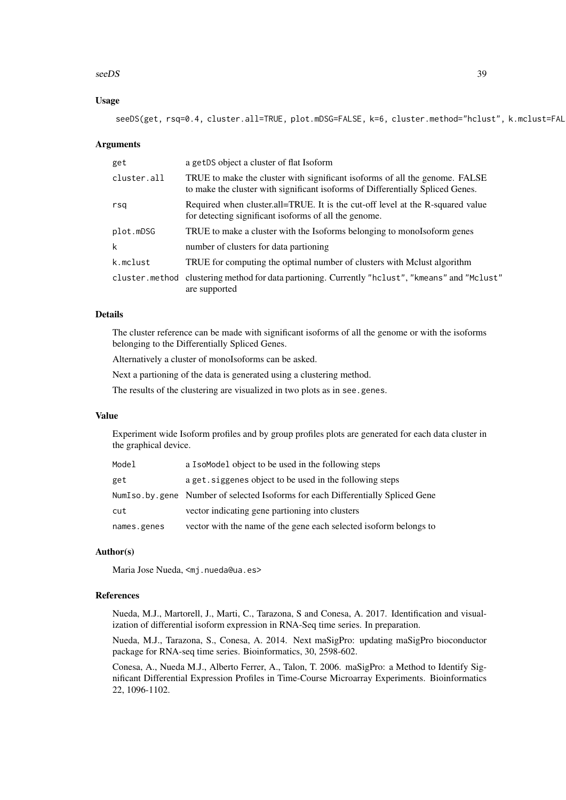#### seeDS 39

# Usage

seeDS(get, rsq=0.4, cluster.all=TRUE, plot.mDSG=FALSE, k=6, cluster.method="hclust", k.mclust=FAL

#### Arguments

| get         | a getDS object a cluster of flat Isoform                                                                                                                      |
|-------------|---------------------------------------------------------------------------------------------------------------------------------------------------------------|
| cluster.all | TRUE to make the cluster with significant isoforms of all the genome. FALSE<br>to make the cluster with significant isoforms of Differentially Spliced Genes. |
| rsq         | Required when cluster.all=TRUE. It is the cut-off level at the R-squared value<br>for detecting significant isoforms of all the genome.                       |
| plot.mDSG   | TRUE to make a cluster with the Isoforms belonging to monols of orm genes                                                                                     |
| k           | number of clusters for data partioning                                                                                                                        |
| k.mclust    | TRUE for computing the optimal number of clusters with Mclust algorithm                                                                                       |
|             | cluster.method clustering method for data partioning. Currently "hclust", "kmeans" and "Mclust"<br>are supported                                              |

#### Details

The cluster reference can be made with significant isoforms of all the genome or with the isoforms belonging to the Differentially Spliced Genes.

Alternatively a cluster of monoIsoforms can be asked.

Next a partioning of the data is generated using a clustering method.

The results of the clustering are visualized in two plots as in see.genes.

#### Value

Experiment wide Isoform profiles and by group profiles plots are generated for each data cluster in the graphical device.

| Model       | a I solded object to be used in the following steps                               |
|-------------|-----------------------------------------------------------------------------------|
| get         | a get. siggenes object to be used in the following steps                          |
|             | NumIso, by, gene Number of selected Isoforms for each Differentially Spliced Gene |
| cut         | vector indicating gene partioning into clusters                                   |
| names.genes | vector with the name of the gene each selected isoform belongs to                 |

#### Author(s)

Maria Jose Nueda, <mj.nueda@ua.es>

#### References

Nueda, M.J., Martorell, J., Marti, C., Tarazona, S and Conesa, A. 2017. Identification and visualization of differential isoform expression in RNA-Seq time series. In preparation.

Nueda, M.J., Tarazona, S., Conesa, A. 2014. Next maSigPro: updating maSigPro bioconductor package for RNA-seq time series. Bioinformatics, 30, 2598-602.

Conesa, A., Nueda M.J., Alberto Ferrer, A., Talon, T. 2006. maSigPro: a Method to Identify Significant Differential Expression Profiles in Time-Course Microarray Experiments. Bioinformatics 22, 1096-1102.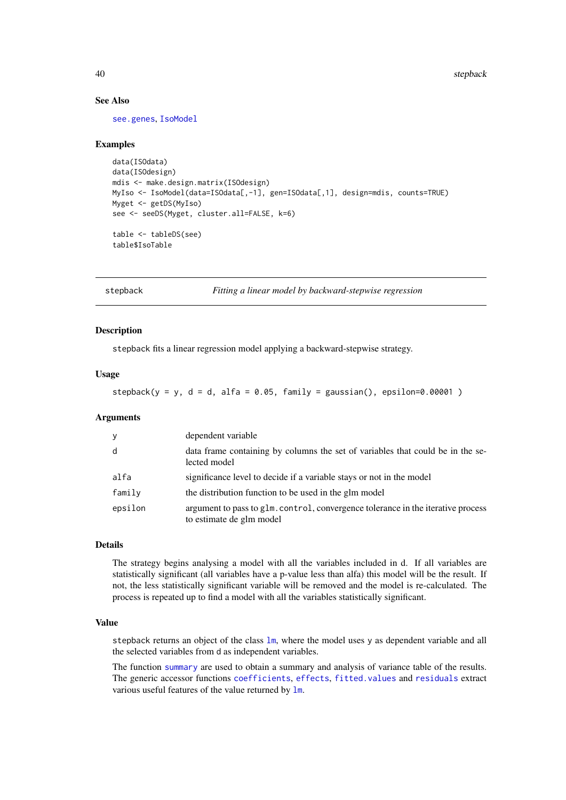# See Also

[see.genes](#page-34-1), [IsoModel](#page-14-1)

# Examples

```
data(ISOdata)
data(ISOdesign)
mdis <- make.design.matrix(ISOdesign)
MyIso <- IsoModel(data=ISOdata[,-1], gen=ISOdata[,1], design=mdis, counts=TRUE)
Myget <- getDS(MyIso)
see <- seeDS(Myget, cluster.all=FALSE, k=6)
table <- tableDS(see)
table$IsoTable
```
<span id="page-39-1"></span>stepback *Fitting a linear model by backward-stepwise regression*

# Description

stepback fits a linear regression model applying a backward-stepwise strategy.

#### Usage

stepback( $y = y$ ,  $d = d$ , alfa = 0.05, family = gaussian(), epsilon=0.00001)

#### Arguments

| y       | dependent variable                                                                                           |
|---------|--------------------------------------------------------------------------------------------------------------|
| d       | data frame containing by columns the set of variables that could be in the se-<br>lected model               |
| alfa    | significance level to decide if a variable stays or not in the model                                         |
| family  | the distribution function to be used in the glm model                                                        |
| epsilon | argument to pass to glm. control, convergence tolerance in the iterative process<br>to estimate de glm model |

# Details

The strategy begins analysing a model with all the variables included in d. If all variables are statistically significant (all variables have a p-value less than alfa) this model will be the result. If not, the less statistically significant variable will be removed and the model is re-calculated. The process is repeated up to find a model with all the variables statistically significant.

# Value

stepback returns an object of the class  $lm$ , where the model uses y as dependent variable and all the selected variables from d as independent variables.

The function [summary](#page-0-0) are used to obtain a summary and analysis of variance table of the results. The generic accessor functions [coefficients](#page-0-0), [effects](#page-0-0), [fitted.values](#page-0-0) and [residuals](#page-0-0) extract various useful features of the value returned by [lm](#page-0-0).

<span id="page-39-0"></span>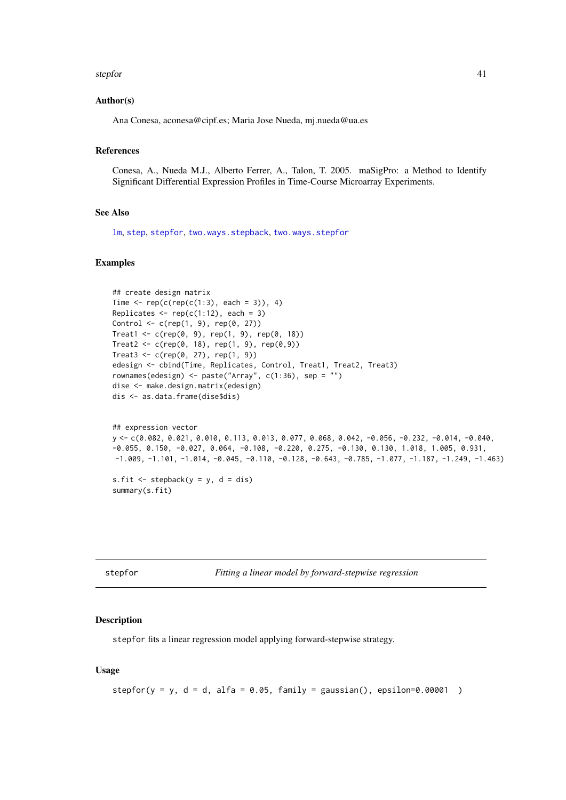#### <span id="page-40-0"></span>stepfor the contract of the step of the step of the step of the step of the step of the step of the step of the step of the step of the step of the step of the step of the step of the step of the step of the step of the st

#### Author(s)

Ana Conesa, aconesa@cipf.es; Maria Jose Nueda, mj.nueda@ua.es

### References

Conesa, A., Nueda M.J., Alberto Ferrer, A., Talon, T. 2005. maSigPro: a Method to Identify Significant Differential Expression Profiles in Time-Course Microarray Experiments.

#### See Also

[lm](#page-0-0), [step](#page-0-0), [stepfor](#page-40-1), [two.ways.stepback](#page-47-1), [two.ways.stepfor](#page-48-1)

#### Examples

```
## create design matrix
Time \leq rep(c(rep(c(1:3), each = 3)), 4)
Replicates \leq rep(c(1:12), each = 3)
Control <- c(rep(1, 9), rep(0, 27))
Treat1 <- c(rep(0, 9), rep(1, 9), rep(0, 18))
Treat2 <- c(rep(0, 18), rep(1, 9), rep(0,9))
Treat3 \leq c (rep(0, 27), rep(1, 9))
edesign <- cbind(Time, Replicates, Control, Treat1, Treat2, Treat3)
rownames(edesign) <- paste("Array", c(1:36), sep = "")
dise <- make.design.matrix(edesign)
dis <- as.data.frame(dise$dis)
```

```
## expression vector
y <- c(0.082, 0.021, 0.010, 0.113, 0.013, 0.077, 0.068, 0.042, -0.056, -0.232, -0.014, -0.040,
-0.055, 0.150, -0.027, 0.064, -0.108, -0.220, 0.275, -0.130, 0.130, 1.018, 1.005, 0.931,
-1.009, -1.101, -1.014, -0.045, -0.110, -0.128, -0.643, -0.785, -1.077, -1.187, -1.249, -1.463)
```
s.fit  $\leq$  stepback( $y = y$ ,  $d = dis$ ) summary(s.fit)

<span id="page-40-1"></span>stepfor *Fitting a linear model by forward-stepwise regression*

#### Description

stepfor fits a linear regression model applying forward-stepwise strategy.

# Usage

stepfor( $y = y$ ,  $d = d$ , alfa = 0.05, family = gaussian(), epsilon=0.00001)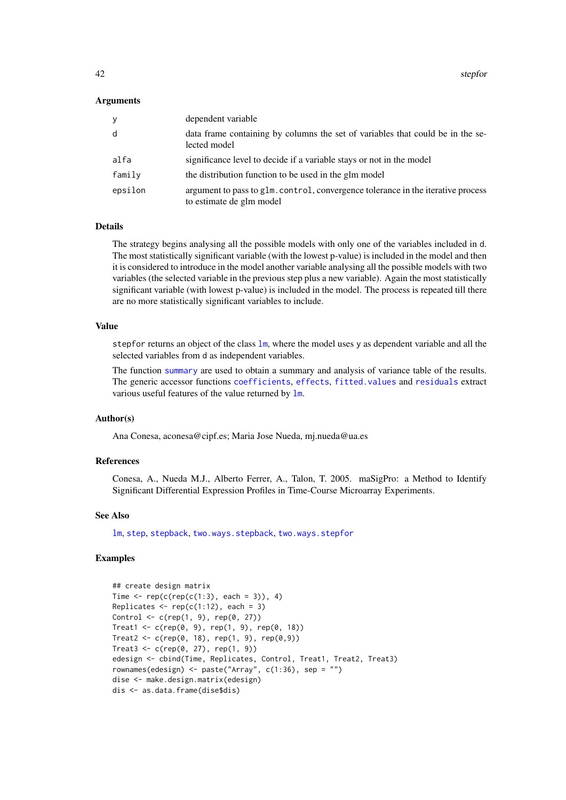<span id="page-41-0"></span>42 stepfor

#### Arguments

| y       | dependent variable                                                                                           |
|---------|--------------------------------------------------------------------------------------------------------------|
| d       | data frame containing by columns the set of variables that could be in the se-<br>lected model               |
| alfa    | significance level to decide if a variable stays or not in the model                                         |
| family  | the distribution function to be used in the glm model                                                        |
| epsilon | argument to pass to g1m, control, convergence tolerance in the iterative process<br>to estimate de glm model |

#### Details

The strategy begins analysing all the possible models with only one of the variables included in d. The most statistically significant variable (with the lowest p-value) is included in the model and then it is considered to introduce in the model another variable analysing all the possible models with two variables (the selected variable in the previous step plus a new variable). Again the most statistically significant variable (with lowest p-value) is included in the model. The process is repeated till there are no more statistically significant variables to include.

# Value

stepfor returns an object of the class 1m, where the model uses y as dependent variable and all the selected variables from d as independent variables.

The function [summary](#page-0-0) are used to obtain a summary and analysis of variance table of the results. The generic accessor functions [coefficients](#page-0-0), [effects](#page-0-0), [fitted.values](#page-0-0) and [residuals](#page-0-0) extract various useful features of the value returned by [lm](#page-0-0).

#### Author(s)

Ana Conesa, aconesa@cipf.es; Maria Jose Nueda, mj.nueda@ua.es

# References

Conesa, A., Nueda M.J., Alberto Ferrer, A., Talon, T. 2005. maSigPro: a Method to Identify Significant Differential Expression Profiles in Time-Course Microarray Experiments.

# See Also

[lm](#page-0-0), [step](#page-0-0), [stepback](#page-39-1), [two.ways.stepback](#page-47-1), [two.ways.stepfor](#page-48-1)

```
## create design matrix
Time \leq rep(c(rep(c(1:3), each = 3)), 4)
Replicates \leq rep(c(1:12), each = 3)
Control <- c(rep(1, 9), rep(0, 27))
Treat1 < -c(rep(0, 9), rep(1, 9), rep(0, 18))Treat2 < -c(rep(\emptyset, 18), rep(1, 9), rep(\emptyset, 9))Treat3 < -c(rep(\theta, 27), rep(1, 9))edesign <- cbind(Time, Replicates, Control, Treat1, Treat2, Treat3)
rownames(edesign) <- paste("Array", c(1:36), sep = "")
dise <- make.design.matrix(edesign)
dis <- as.data.frame(dise$dis)
```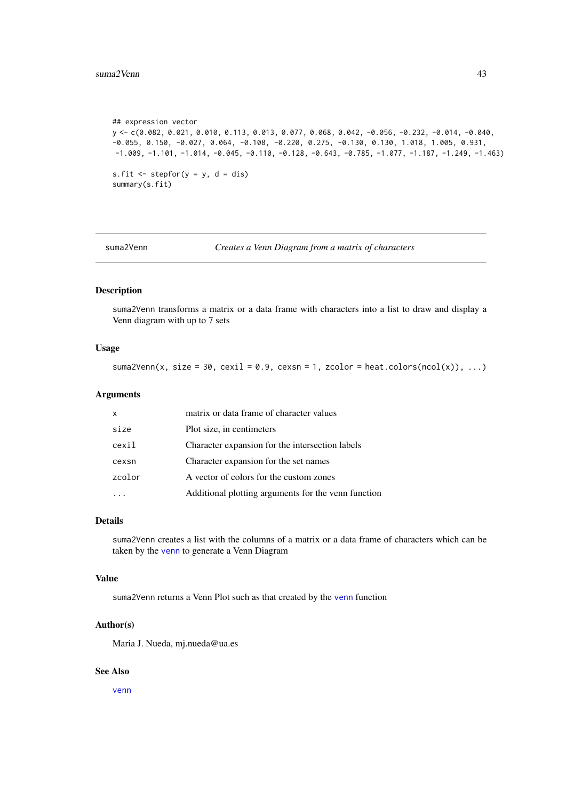#### <span id="page-42-0"></span>suma2Venn and the state of the state of the state of the state of the state of the state of the state of the state of the state of the state of the state of the state of the state of the state of the state of the state of

```
## expression vector
y <- c(0.082, 0.021, 0.010, 0.113, 0.013, 0.077, 0.068, 0.042, -0.056, -0.232, -0.014, -0.040,
-0.055, 0.150, -0.027, 0.064, -0.108, -0.220, 0.275, -0.130, 0.130, 1.018, 1.005, 0.931,
-1.009, -1.101, -1.014, -0.045, -0.110, -0.128, -0.643, -0.785, -1.077, -1.187, -1.249, -1.463)
s.fit \leq stepfor(y = y, d = dis)
summary(s.fit)
```
suma2Venn *Creates a Venn Diagram from a matrix of characters*

### Description

suma2Venn transforms a matrix or a data frame with characters into a list to draw and display a Venn diagram with up to 7 sets

# Usage

suma2Venn(x, size = 30, cexil = 0.9, cexsn = 1, zcolor = heat.colors(ncol(x)), ...)

#### Arguments

| Plot size, in centimeters<br>size<br>Character expansion for the intersection labels<br>cexil<br>Character expansion for the set names<br>cexsn<br>zcolor<br>A vector of colors for the custom zones | X | matrix or data frame of character values            |
|------------------------------------------------------------------------------------------------------------------------------------------------------------------------------------------------------|---|-----------------------------------------------------|
|                                                                                                                                                                                                      |   |                                                     |
|                                                                                                                                                                                                      |   |                                                     |
|                                                                                                                                                                                                      |   |                                                     |
|                                                                                                                                                                                                      |   |                                                     |
|                                                                                                                                                                                                      |   | Additional plotting arguments for the venn function |

#### Details

suma2Venn creates a list with the columns of a matrix or a data frame of characters which can be taken by the [venn](#page-0-0) to generate a Venn Diagram

#### Value

suma2Venn returns a Venn Plot such as that created by the [venn](#page-0-0) function

# Author(s)

Maria J. Nueda, mj.nueda@ua.es

# See Also

[venn](#page-0-0)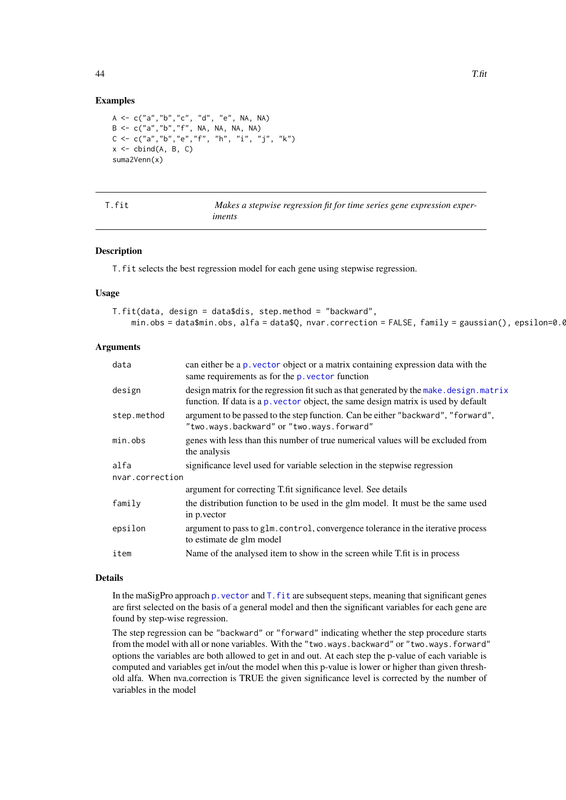# Examples

```
A <- c("a","b","c", "d", "e", NA, NA)
B <- c("a","b","f", NA, NA, NA, NA)
C <- c("a","b","e","f", "h", "i", "j", "k")
x \le - cbind(A, B, C)
suma2Venn(x)
```
<span id="page-43-1"></span>

| T.fit | Makes a stepwise regression fit for time series gene expression exper- |
|-------|------------------------------------------------------------------------|
|       | iments                                                                 |

# Description

T.fit selects the best regression model for each gene using stepwise regression.

#### Usage

| T.fit(data, design = data\$dis, step.method = "backward"                                               |
|--------------------------------------------------------------------------------------------------------|
| $min. obs = data $min. obs, alfa = data $Q, nvar.correction = FALSE, family = gaussian(), epsilon=0.0$ |

# Arguments

| data            | can either be a p, vector object or a matrix containing expression data with the<br>same requirements as for the p. vector function                                           |
|-----------------|-------------------------------------------------------------------------------------------------------------------------------------------------------------------------------|
| design          | design matrix for the regression fit such as that generated by the make. design. matrix<br>function. If data is a p. vector object, the same design matrix is used by default |
| step.method     | argument to be passed to the step function. Can be either "backward", "forward",<br>"two.ways.backward" or "two.ways.forward"                                                 |
| min.obs         | genes with less than this number of true numerical values will be excluded from<br>the analysis                                                                               |
| alfa            | significance level used for variable selection in the stepwise regression                                                                                                     |
| nvar.correction |                                                                                                                                                                               |
|                 | argument for correcting T.fit significance level. See details                                                                                                                 |
| family          | the distribution function to be used in the glm model. It must be the same used<br>in p.vector                                                                                |
| epsilon         | argument to pass to glm. control, convergence tolerance in the iterative process<br>to estimate de glm model                                                                  |
| item            | Name of the analysed item to show in the screen while T.fit is in process                                                                                                     |
|                 |                                                                                                                                                                               |

# Details

In the maSigPro approach p. vector and T. fit are subsequent steps, meaning that significant genes are first selected on the basis of a general model and then the significant variables for each gene are found by step-wise regression.

The step regression can be "backward" or "forward" indicating whether the step procedure starts from the model with all or none variables. With the "two.ways.backward" or "two.ways.forward" options the variables are both allowed to get in and out. At each step the p-value of each variable is computed and variables get in/out the model when this p-value is lower or higher than given threshold alfa. When nva.correction is TRUE the given significance level is corrected by the number of variables in the model

<span id="page-43-0"></span>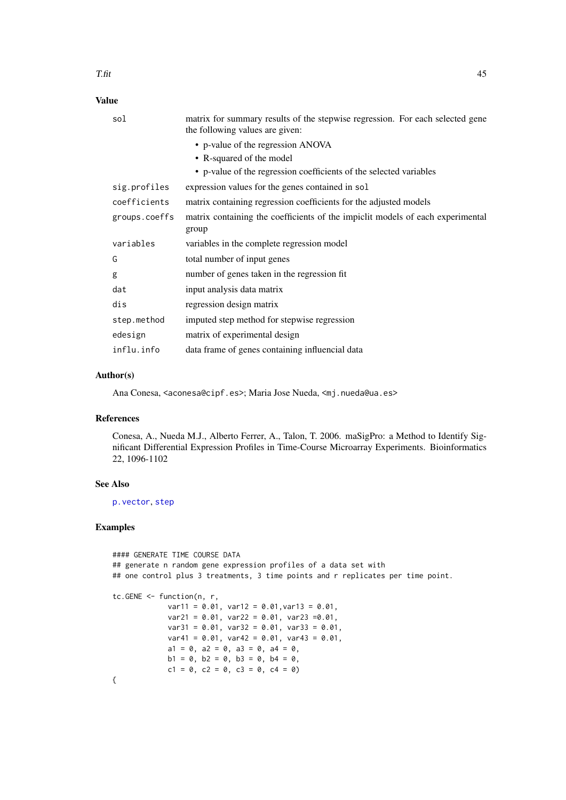# <span id="page-44-0"></span>Value

| sol           | matrix for summary results of the stepwise regression. For each selected gene<br>the following values are given: |
|---------------|------------------------------------------------------------------------------------------------------------------|
|               | • p-value of the regression ANOVA                                                                                |
|               | • R-squared of the model                                                                                         |
|               | • p-value of the regression coefficients of the selected variables                                               |
| sig.profiles  | expression values for the genes contained in sol                                                                 |
| coefficients  | matrix containing regression coefficients for the adjusted models                                                |
| groups.coeffs | matrix containing the coefficients of the impiclit models of each experimental<br>group                          |
| variables     | variables in the complete regression model                                                                       |
| G             | total number of input genes                                                                                      |
| g             | number of genes taken in the regression fit.                                                                     |
| dat           | input analysis data matrix                                                                                       |
| dis           | regression design matrix                                                                                         |
| step.method   | imputed step method for stepwise regression                                                                      |
| edesign       | matrix of experimental design                                                                                    |
| influ.info    | data frame of genes containing influencial data                                                                  |

#### Author(s)

Ana Conesa, <aconesa@cipf.es>; Maria Jose Nueda, <mj.nueda@ua.es>

#### References

Conesa, A., Nueda M.J., Alberto Ferrer, A., Talon, T. 2006. maSigPro: a Method to Identify Significant Differential Expression Profiles in Time-Course Microarray Experiments. Bioinformatics 22, 1096-1102

# See Also

[p.vector](#page-25-1), [step](#page-0-0)

```
#### GENERATE TIME COURSE DATA
## generate n random gene expression profiles of a data set with
## one control plus 3 treatments, 3 time points and r replicates per time point.
tc.GENE <- function(n, r,
            var11 = 0.01, var12 = 0.01,var13 = 0.01,
            var21 = 0.01, var22 = 0.01, var23 =0.01,
            var31 = 0.01, var32 = 0.01, var33 = 0.01,
            var41 = 0.01, var42 = 0.01, var43 = 0.01,
            a1 = 0, a2 = 0, a3 = 0, a4 = 0,
            b1 = 0, b2 = 0, b3 = 0, b4 = 0,
            c1 = 0, c2 = 0, c3 = 0, c4 = 0)
{
```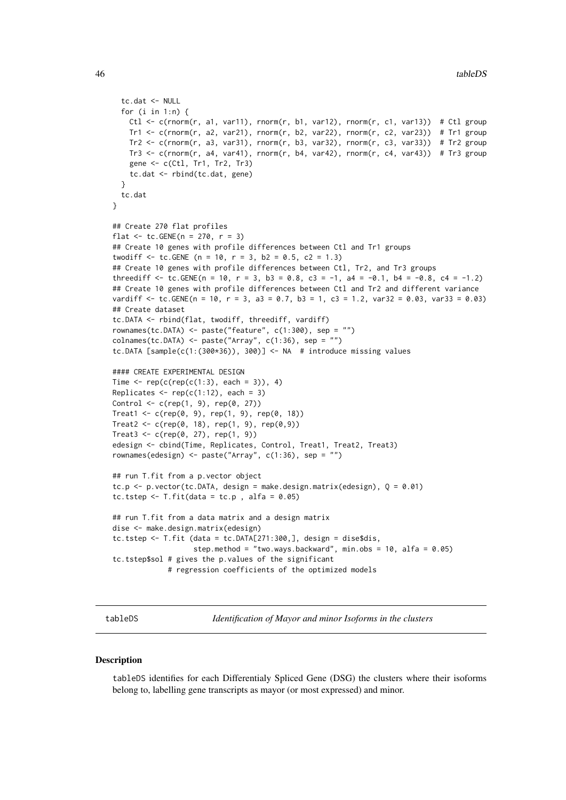```
tc.dat <- NULL
  for (i in 1:n) {
   Ctl \leq c(rnorm(r, a1, var11), rnorm(r, b1, var12), rnorm(r, c1, var13)) # Ctl group
    Tr1 <- c(rnorm(r, a2, var21), rnorm(r, b2, var22), rnorm(r, c2, var23)) # Tr1 group
    Tr2 \leq c(rnorm(r, a3, var31), rnorm(r, b3, var32), rnorm(r, c3, var33)) # Tr2 group
   Tr3 <- c(rnorm(r, a4, var41), rnorm(r, b4, var42), rnorm(r, c4, var43)) # Tr3 group
    gene <- c(Ctl, Tr1, Tr2, Tr3)
    tc.dat <- rbind(tc.dat, gene)
  }
  tc.dat
}
## Create 270 flat profiles
flat <- tc. GENE(n = 270, r = 3)
## Create 10 genes with profile differences between Ctl and Tr1 groups
twodiff \le tc.GENE (n = 10, r = 3, b2 = 0.5, c2 = 1.3)
## Create 10 genes with profile differences between Ctl, Tr2, and Tr3 groups
threediff \leq tc.GENE(n = 10, r = 3, b3 = 0.8, c3 = -1, a4 = -0.1, b4 = -0.8, c4 = -1.2)
## Create 10 genes with profile differences between Ctl and Tr2 and different variance
vardiff \le tc.GENE(n = 10, r = 3, a3 = 0.7, b3 = 1, c3 = 1.2, var32 = 0.03, var33 = 0.03)
## Create dataset
tc.DATA <- rbind(flat, twodiff, threediff, vardiff)
rownames(tc.DATA) <- paste("feature", c(1:300), sep = "")
colnames(tc.DATA) <- paste("Array", c(1:36), sep = "")
tc.DATA [sample(c(1:(300*36)), 300)] <- NA # introduce missing values
#### CREATE EXPERIMENTAL DESIGN
Time \leq rep(c(rep(c(1:3), each = 3)), 4)
Replicates \leq rep(c(1:12), each = 3)
Control <- c(rep(1, 9), rep(0, 27))
Treat1 \leq c (reb(0, 9), rep(1, 9), rep(0, 18))Treat2 <- c(rep(0, 18), rep(1, 9), rep(0,9))
Treat3 <- c(rep(0, 27), rep(1, 9))
edesign <- cbind(Time, Replicates, Control, Treat1, Treat2, Treat3)
rownames(edesign) <- paste("Array", c(1:36), sep = "")
## run T.fit from a p.vector object
tc.p <- p.vector(tc.DATA, design = make.design.matrix(edesign), Q = 0.01)
tc.tstep \leq T.fit(data = tc.p, alfa = 0.05)
## run T.fit from a data matrix and a design matrix
dise <- make.design.matrix(edesign)
tc.tstep \le T.fit (data = tc.DATA[271:300,], design = dise$dis,
                   step.method = "two.ways.backward", min.obs = 10, alfa = 0.05)
tc.tstep$sol # gives the p.values of the significant
             # regression coefficients of the optimized models
```
<span id="page-45-1"></span>tableDS *Identification of Mayor and minor Isoforms in the clusters*

#### Description

tableDS identifies for each Differentialy Spliced Gene (DSG) the clusters where their isoforms belong to, labelling gene transcripts as mayor (or most expressed) and minor.

<span id="page-45-0"></span>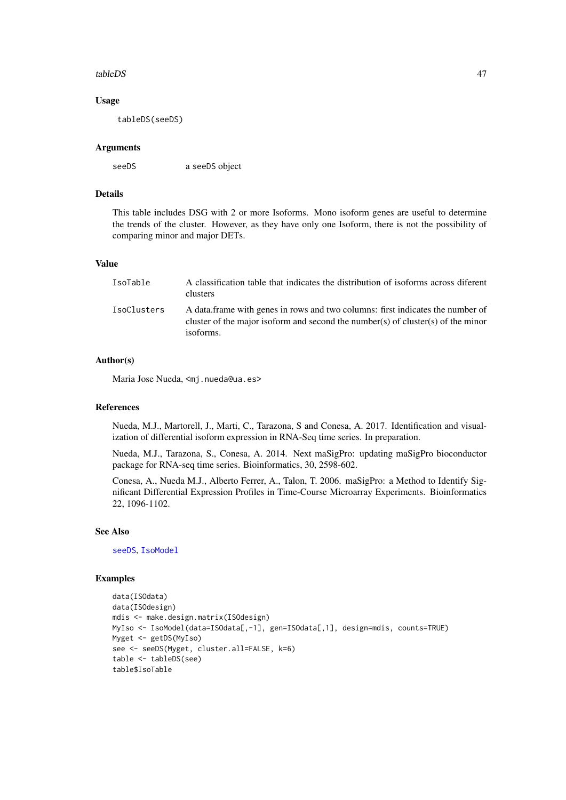#### <span id="page-46-0"></span>tableDS 47

#### Usage

tableDS(seeDS)

# Arguments

seeDS a seeDS object

# Details

This table includes DSG with 2 or more Isoforms. Mono isoform genes are useful to determine the trends of the cluster. However, as they have only one Isoform, there is not the possibility of comparing minor and major DETs.

#### Value

| IsoTable    | A classification table that indicates the distribution of isoforms across diferent<br><b>clusters</b>                                                                           |
|-------------|---------------------------------------------------------------------------------------------------------------------------------------------------------------------------------|
| IsoClusters | A data frame with genes in rows and two columns: first indicates the number of<br>cluster of the major isoform and second the number(s) of cluster(s) of the minor<br>isoforms. |

# Author(s)

Maria Jose Nueda, <mj.nueda@ua.es>

#### References

Nueda, M.J., Martorell, J., Marti, C., Tarazona, S and Conesa, A. 2017. Identification and visualization of differential isoform expression in RNA-Seq time series. In preparation.

Nueda, M.J., Tarazona, S., Conesa, A. 2014. Next maSigPro: updating maSigPro bioconductor package for RNA-seq time series. Bioinformatics, 30, 2598-602.

Conesa, A., Nueda M.J., Alberto Ferrer, A., Talon, T. 2006. maSigPro: a Method to Identify Significant Differential Expression Profiles in Time-Course Microarray Experiments. Bioinformatics 22, 1096-1102.

# See Also

[seeDS](#page-37-1), [IsoModel](#page-14-1)

```
data(ISOdata)
data(ISOdesign)
mdis <- make.design.matrix(ISOdesign)
MyIso <- IsoModel(data=ISOdata[,-1], gen=ISOdata[,1], design=mdis, counts=TRUE)
Myget <- getDS(MyIso)
see <- seeDS(Myget, cluster.all=FALSE, k=6)
table <- tableDS(see)
table$IsoTable
```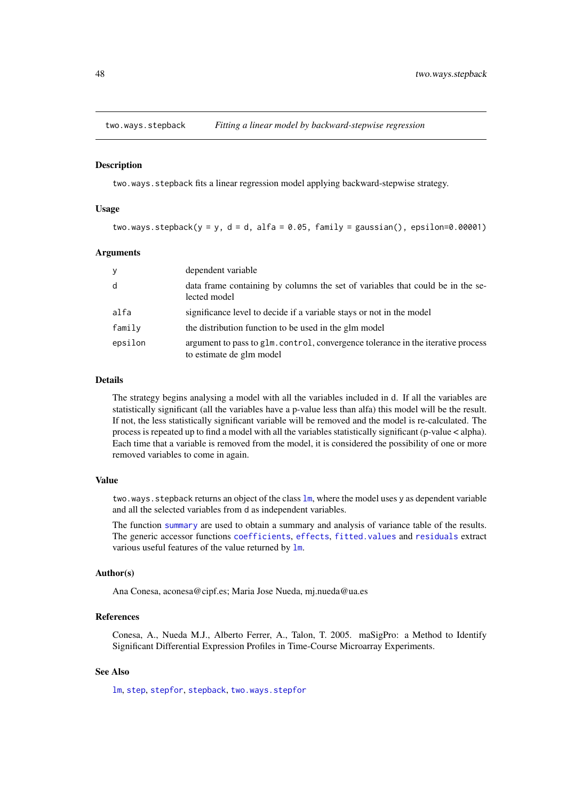<span id="page-47-1"></span><span id="page-47-0"></span>

#### **Description**

two.ways.stepback fits a linear regression model applying backward-stepwise strategy.

# Usage

two.ways.stepback(y = y, d = d, alfa = 0.05, family = gaussian(), epsilon=0.00001)

# Arguments

| y       | dependent variable                                                                                           |
|---------|--------------------------------------------------------------------------------------------------------------|
| d       | data frame containing by columns the set of variables that could be in the se-<br>lected model               |
| alfa    | significance level to decide if a variable stays or not in the model                                         |
| family  | the distribution function to be used in the glm model                                                        |
| epsilon | argument to pass to glm. control, convergence tolerance in the iterative process<br>to estimate de glm model |

# Details

The strategy begins analysing a model with all the variables included in d. If all the variables are statistically significant (all the variables have a p-value less than alfa) this model will be the result. If not, the less statistically significant variable will be removed and the model is re-calculated. The process is repeated up to find a model with all the variables statistically significant (p-value < alpha). Each time that a variable is removed from the model, it is considered the possibility of one or more removed variables to come in again.

#### Value

two.ways.stepback returns an object of the class  $\text{lm}$  $\text{lm}$  $\text{lm}$ , where the model uses y as dependent variable and all the selected variables from d as independent variables.

The function [summary](#page-0-0) are used to obtain a summary and analysis of variance table of the results. The generic accessor functions [coefficients](#page-0-0), [effects](#page-0-0), [fitted.values](#page-0-0) and [residuals](#page-0-0) extract various useful features of the value returned by [lm](#page-0-0).

#### Author(s)

Ana Conesa, aconesa@cipf.es; Maria Jose Nueda, mj.nueda@ua.es

#### References

Conesa, A., Nueda M.J., Alberto Ferrer, A., Talon, T. 2005. maSigPro: a Method to Identify Significant Differential Expression Profiles in Time-Course Microarray Experiments.

#### See Also

[lm](#page-0-0), [step](#page-0-0), [stepfor](#page-40-1), [stepback](#page-39-1), [two.ways.stepfor](#page-48-1)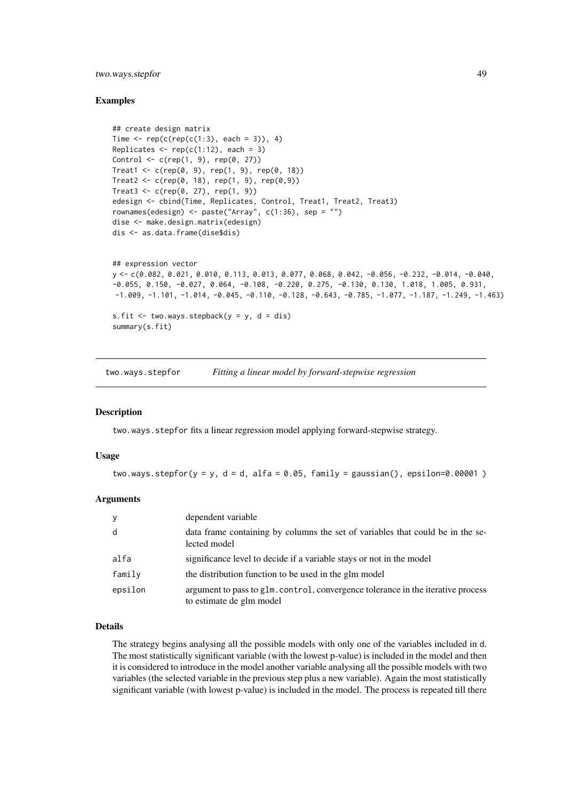#### <span id="page-48-0"></span>two.ways.stepfor 49

#### Examples

```
## create design matrix
Time \leq rep(c(rep(c(1:3), each = 3)), 4)
Replicates \leq rep(c(1:12), each = 3)
Control \leq c(rep(1, 9), rep(0, 27))
Treat1 <- c(rep(0, 9), rep(1, 9), rep(0, 18))
Treat2 <- c(rep(0, 18), rep(1, 9), rep(0,9))
Treat3 < -c(rep(0, 27), rep(1, 9))edesign <- cbind(Time, Replicates, Control, Treat1, Treat2, Treat3)
rownames(edesign) <- paste("Array", c(1:36), sep = "")
dise <- make.design.matrix(edesign)
dis <- as.data.frame(dise$dis)
## expression vector
y <- c(0.082, 0.021, 0.010, 0.113, 0.013, 0.077, 0.068, 0.042, -0.056, -0.232, -0.014, -0.040,
-0.055, 0.150, -0.027, 0.064, -0.108, -0.220, 0.275, -0.130, 0.130, 1.018, 1.005, 0.931,
-1.009, -1.101, -1.014, -0.045, -0.110, -0.128, -0.643, -0.785, -1.077, -1.187, -1.249, -1.463)
s.fit \le two.ways.stepback(y = y, d = dis)
summary(s.fit)
```
<span id="page-48-1"></span>two.ways.stepfor *Fitting a linear model by forward-stepwise regression*

#### Description

two.ways.stepfor fits a linear regression model applying forward-stepwise strategy.

#### Usage

two.ways.stepfor(y = y, d = d, alfa =  $0.05$ , family = gaussian(), epsilon=0.00001)

#### Arguments

| У       | dependent variable                                                                                           |
|---------|--------------------------------------------------------------------------------------------------------------|
| d       | data frame containing by columns the set of variables that could be in the se-<br>lected model               |
| alfa    | significance level to decide if a variable stays or not in the model                                         |
| family  | the distribution function to be used in the glm model                                                        |
| epsilon | argument to pass to glm. control, convergence tolerance in the iterative process<br>to estimate de glm model |

#### Details

The strategy begins analysing all the possible models with only one of the variables included in d. The most statistically significant variable (with the lowest p-value) is included in the model and then it is considered to introduce in the model another variable analysing all the possible models with two variables (the selected variable in the previous step plus a new variable). Again the most statistically significant variable (with lowest p-value) is included in the model. The process is repeated till there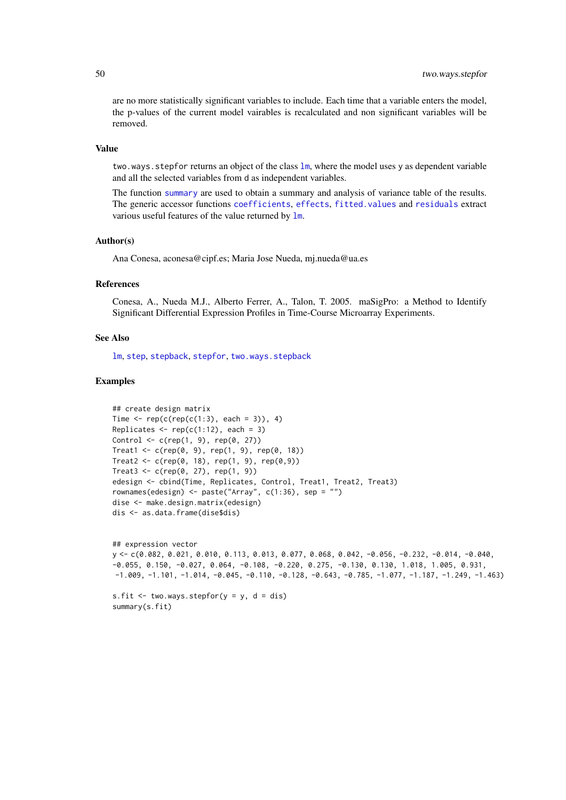are no more statistically significant variables to include. Each time that a variable enters the model, the p-values of the current model vairables is recalculated and non significant variables will be removed.

#### Value

two.ways.stepfor returns an object of the class 1m, where the model uses y as dependent variable and all the selected variables from d as independent variables.

The function [summary](#page-0-0) are used to obtain a summary and analysis of variance table of the results. The generic accessor functions [coefficients](#page-0-0), [effects](#page-0-0), [fitted.values](#page-0-0) and [residuals](#page-0-0) extract various useful features of the value returned by [lm](#page-0-0).

#### Author(s)

Ana Conesa, aconesa@cipf.es; Maria Jose Nueda, mj.nueda@ua.es

#### References

Conesa, A., Nueda M.J., Alberto Ferrer, A., Talon, T. 2005. maSigPro: a Method to Identify Significant Differential Expression Profiles in Time-Course Microarray Experiments.

#### See Also

[lm](#page-0-0), [step](#page-0-0), [stepback](#page-39-1), [stepfor](#page-40-1), [two.ways.stepback](#page-47-1)

```
## create design matrix
Time \leq rep(c(rep(c(1:3), each = 3)), 4)
Replicates \leq rep(c(1:12), each = 3)
Control \leq c (rep(1, 9), rep(0, 27))
Treat1 <- c(rep(0, 9), rep(1, 9), rep(0, 18))
Treat2 <- c(rep(0, 18), rep(1, 9), rep(0,9))
Treat3 < -c(rep(0, 27), rep(1, 9))edesign <- cbind(Time, Replicates, Control, Treat1, Treat2, Treat3)
rownames(edesign) <- paste("Array", c(1:36), sep = "")
dise <- make.design.matrix(edesign)
dis <- as.data.frame(dise$dis)
```

```
## expression vector
y <- c(0.082, 0.021, 0.010, 0.113, 0.013, 0.077, 0.068, 0.042, -0.056, -0.232, -0.014, -0.040,
-0.055, 0.150, -0.027, 0.064, -0.108, -0.220, 0.275, -0.130, 0.130, 1.018, 1.005, 0.931,
-1.009, -1.101, -1.014, -0.045, -0.110, -0.128, -0.643, -0.785, -1.077, -1.187, -1.249, -1.463)
```

```
s.fit <- two.ways.stepfor(y = y, d = dis)
summary(s.fit)
```
<span id="page-49-0"></span>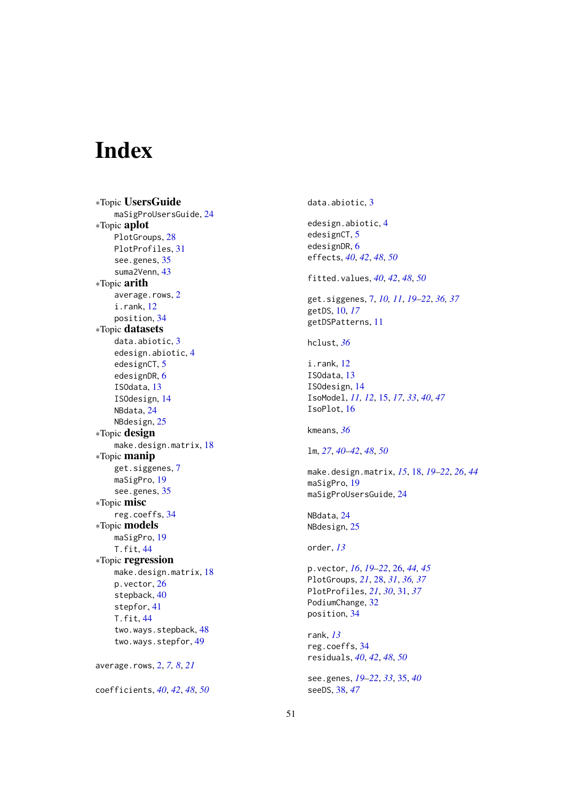# <span id="page-50-0"></span>**Index**

∗Topic UsersGuide maSigProUsersGuide , [24](#page-23-0) ∗Topic aplot PlotGroups , [28](#page-27-0) PlotProfiles , [31](#page-30-0) see.genes, [35](#page-34-0) suma2Venn , [43](#page-42-0) ∗Topic arith average.rows, [2](#page-1-0) i.rank , [12](#page-11-0) position , [34](#page-33-0) ∗Topic datasets data.abiotic, [3](#page-2-0) edesign.abiotic , [4](#page-3-0) edesignCT, [5](#page-4-0) edesignDR, [6](#page-5-0) ISOdata , [13](#page-12-0) ISOdesign , [14](#page-13-0) NBdata , [24](#page-23-0) NBdesign, [25](#page-24-0) ∗Topic design make.design.matrix, <mark>[18](#page-17-0)</mark> ∗Topic manip get.siggenes , [7](#page-6-0) maSigPro , [19](#page-18-0) see.genes, [35](#page-34-0) ∗Topic misc reg.coeffs , [34](#page-33-0) ∗Topic models maSigPro, 1<mark>9</mark> T.fit , [44](#page-43-0) ∗Topic regression make.design.matrix, [18](#page-17-0) p.vector , [26](#page-25-0) stepback , [40](#page-39-0) stepfor , [41](#page-40-0) T.fit , [44](#page-43-0) two.ways.stepback , [48](#page-47-0) two.ways.stepfor , [49](#page-48-0) average.rows , [2](#page-1-0) , *[7,](#page-6-0) [8](#page-7-0)* , *[21](#page-20-0)*

coefficients , *[40](#page-39-0)* , *[42](#page-41-0)* , *[48](#page-47-0)* , *[50](#page-49-0)*

data.abiotic, [3](#page-2-0) edesign.abiotic , [4](#page-3-0) edesignCT, [5](#page-4-0) edesignDR, [6](#page-5-0) effects , *[40](#page-39-0)* , *[42](#page-41-0)* , *[48](#page-47-0)* , *[50](#page-49-0)* fitted.values , *[40](#page-39-0)* , *[42](#page-41-0)* , *[48](#page-47-0)* , *[50](#page-49-0)* get.siggenes , [7](#page-6-0) , *[10](#page-9-0) , [11](#page-10-0)* , *[19](#page-18-0) [–22](#page-21-0)* , *[36,](#page-35-0) [37](#page-36-0)* getDS , [10](#page-9-0) , *[17](#page-16-0)* getDSPatterns , [11](#page-10-0) hclust , *[36](#page-35-0)* i.rank , [12](#page-11-0) ISOdata , [13](#page-12-0) ISOdesign , [14](#page-13-0) IsoModel , *[11](#page-10-0) , [12](#page-11-0)* , [15](#page-14-0) , *[17](#page-16-0)* , *[33](#page-32-0)* , *[40](#page-39-0)* , *[47](#page-46-0)* IsoPlot , [16](#page-15-0) kmeans , *[36](#page-35-0)* lm , *[27](#page-26-0)* , *[40](#page-39-0)[–42](#page-41-0)* , *[48](#page-47-0)* , *[50](#page-49-0)* make.design.matrix , *[15](#page-14-0)* , [18](#page-17-0) , *[19](#page-18-0) [–22](#page-21-0)* , *[26](#page-25-0)* , *[44](#page-43-0)* maSigPro , [19](#page-18-0) maSigProUsersGuide , [24](#page-23-0) NBdata , [24](#page-23-0) NBdesign , [25](#page-24-0) order , *[13](#page-12-0)* p.vector , *[16](#page-15-0)* , *[19](#page-18-0) [–22](#page-21-0)* , [26](#page-25-0) , *[44](#page-43-0) , [45](#page-44-0)* PlotGroups , *[21](#page-20-0)* , [28](#page-27-0) , *[31](#page-30-0)* , *[36,](#page-35-0) [37](#page-36-0)* PlotProfiles , *[21](#page-20-0)* , *[30](#page-29-0)* , [31](#page-30-0) , *[37](#page-36-0)* PodiumChange, [32](#page-31-0) position , [34](#page-33-0) rank , *[13](#page-12-0)* reg.coeffs , [34](#page-33-0) residuals , *[40](#page-39-0)* , *[42](#page-41-0)* , *[48](#page-47-0)* , *[50](#page-49-0)* see.genes , *[19](#page-18-0) [–22](#page-21-0)* , *[33](#page-32-0)* , [35](#page-34-0) , *[40](#page-39-0)* seeDS , [38](#page-37-0) , *[47](#page-46-0)*